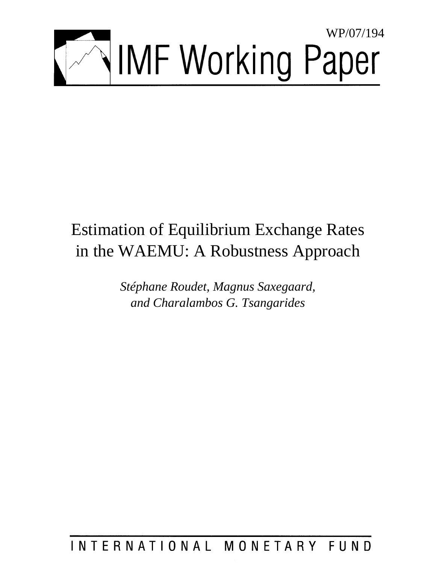

# Estimation of Equilibrium Exchange Rates in the WAEMU: A Robustness Approach

*Stéphane Roudet, Magnus Saxegaard, and Charalambos G. Tsangarides* 

INTERNATIONAL MONETARY FUND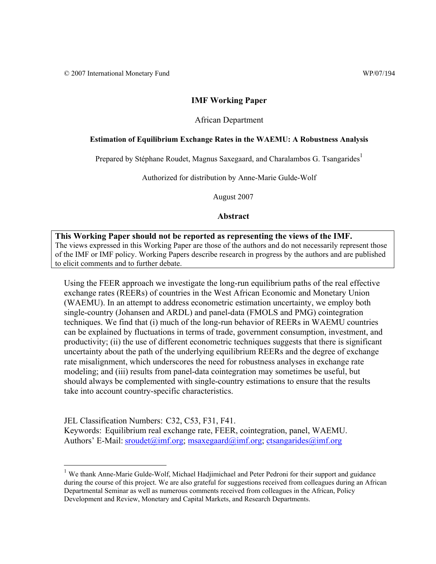1

## **IMF Working Paper**

#### African Department

#### **Estimation of Equilibrium Exchange Rates in the WAEMU: A Robustness Analysis**

Prepared by Stéphane Roudet, Magnus Saxegaard, and Charalambos G. Tsangarides<sup>1</sup>

Authorized for distribution by Anne-Marie Gulde-Wolf

August 2007

#### **Abstract**

**This Working Paper should not be reported as representing the views of the IMF.** The views expressed in this Working Paper are those of the authors and do not necessarily represent those of the IMF or IMF policy. Working Papers describe research in progress by the authors and are published to elicit comments and to further debate.

Using the FEER approach we investigate the long-run equilibrium paths of the real effective exchange rates (REERs) of countries in the West African Economic and Monetary Union (WAEMU). In an attempt to address econometric estimation uncertainty, we employ both single-country (Johansen and ARDL) and panel-data (FMOLS and PMG) cointegration techniques. We find that (i) much of the long-run behavior of REERs in WAEMU countries can be explained by fluctuations in terms of trade, government consumption, investment, and productivity; (ii) the use of different econometric techniques suggests that there is significant uncertainty about the path of the underlying equilibrium REERs and the degree of exchange rate misalignment, which underscores the need for robustness analyses in exchange rate modeling; and (iii) results from panel-data cointegration may sometimes be useful, but should always be complemented with single-country estimations to ensure that the results take into account country-specific characteristics.

JEL Classification Numbers: C32, C53, F31, F41. Keywords: Equilibrium real exchange rate, FEER, cointegration, panel, WAEMU. Authors' E-Mail: sroudet@imf.org; msaxegaard@imf.org; ctsangarides@imf.org

<sup>&</sup>lt;sup>1</sup> We thank Anne-Marie Gulde-Wolf, Michael Hadjimichael and Peter Pedroni for their support and guidance during the course of this project. We are also grateful for suggestions received from colleagues during an African Departmental Seminar as well as numerous comments received from colleagues in the African, Policy Development and Review, Monetary and Capital Markets, and Research Departments.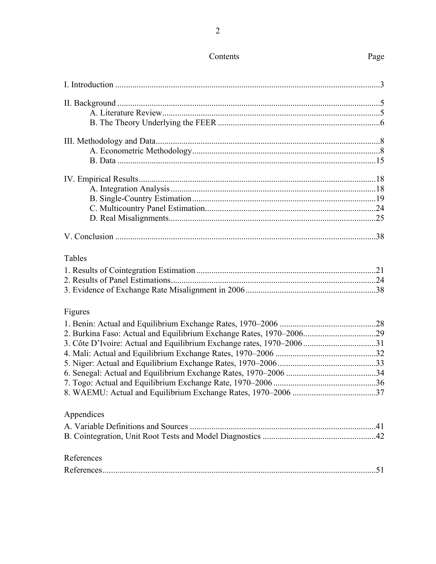| Tables                                                               |  |
|----------------------------------------------------------------------|--|
|                                                                      |  |
|                                                                      |  |
|                                                                      |  |
| Figures                                                              |  |
|                                                                      |  |
|                                                                      |  |
| 3. Côte D'Ivoire: Actual and Equilibrium Exchange rates, 1970–200631 |  |
|                                                                      |  |
|                                                                      |  |
|                                                                      |  |
|                                                                      |  |
|                                                                      |  |
| Appendices                                                           |  |
|                                                                      |  |
|                                                                      |  |
| References                                                           |  |
|                                                                      |  |
|                                                                      |  |

## Contents

# Page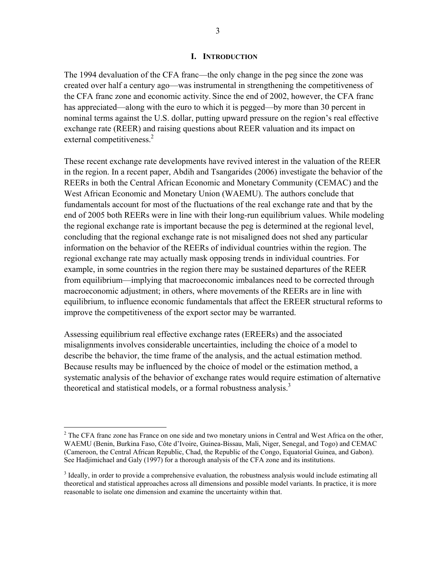#### **I. INTRODUCTION**

The 1994 devaluation of the CFA franc—the only change in the peg since the zone was created over half a century ago—was instrumental in strengthening the competitiveness of the CFA franc zone and economic activity. Since the end of 2002, however, the CFA franc has appreciated—along with the euro to which it is pegged—by more than 30 percent in nominal terms against the U.S. dollar, putting upward pressure on the region's real effective exchange rate (REER) and raising questions about REER valuation and its impact on external competitiveness.<sup>2</sup>

These recent exchange rate developments have revived interest in the valuation of the REER in the region. In a recent paper, Abdih and Tsangarides (2006) investigate the behavior of the REERs in both the Central African Economic and Monetary Community (CEMAC) and the West African Economic and Monetary Union (WAEMU). The authors conclude that fundamentals account for most of the fluctuations of the real exchange rate and that by the end of 2005 both REERs were in line with their long-run equilibrium values. While modeling the regional exchange rate is important because the peg is determined at the regional level, concluding that the regional exchange rate is not misaligned does not shed any particular information on the behavior of the REERs of individual countries within the region. The regional exchange rate may actually mask opposing trends in individual countries. For example, in some countries in the region there may be sustained departures of the REER from equilibrium—implying that macroeconomic imbalances need to be corrected through macroeconomic adjustment; in others, where movements of the REERs are in line with equilibrium, to influence economic fundamentals that affect the EREER structural reforms to improve the competitiveness of the export sector may be warranted.

Assessing equilibrium real effective exchange rates (EREERs) and the associated misalignments involves considerable uncertainties, including the choice of a model to describe the behavior, the time frame of the analysis, and the actual estimation method. Because results may be influenced by the choice of model or the estimation method, a systematic analysis of the behavior of exchange rates would require estimation of alternative theoretical and statistical models, or a formal robustness analysis.<sup>3</sup>

 $\overline{a}$ 

 $2^2$  The CFA franc zone has France on one side and two monetary unions in Central and West Africa on the other, WAEMU (Benin, Burkina Faso, Côte d'Ivoire, Guinea-Bissau, Mali, Niger, Senegal, and Togo) and CEMAC (Cameroon, the Central African Republic, Chad, the Republic of the Congo, Equatorial Guinea, and Gabon). See Hadjimichael and Galy (1997) for a thorough analysis of the CFA zone and its institutions.

<sup>&</sup>lt;sup>3</sup> Ideally, in order to provide a comprehensive evaluation, the robustness analysis would include estimating all theoretical and statistical approaches across all dimensions and possible model variants. In practice, it is more reasonable to isolate one dimension and examine the uncertainty within that.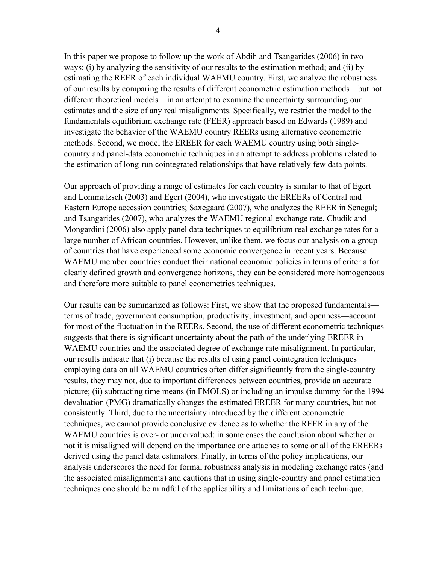In this paper we propose to follow up the work of Abdih and Tsangarides (2006) in two ways: (i) by analyzing the sensitivity of our results to the estimation method; and (ii) by estimating the REER of each individual WAEMU country. First, we analyze the robustness of our results by comparing the results of different econometric estimation methods—but not different theoretical models—in an attempt to examine the uncertainty surrounding our estimates and the size of any real misalignments. Specifically, we restrict the model to the fundamentals equilibrium exchange rate (FEER) approach based on Edwards (1989) and investigate the behavior of the WAEMU country REERs using alternative econometric methods. Second, we model the EREER for each WAEMU country using both singlecountry and panel-data econometric techniques in an attempt to address problems related to the estimation of long-run cointegrated relationships that have relatively few data points.

Our approach of providing a range of estimates for each country is similar to that of Egert and Lommatzsch (2003) and Egert (2004), who investigate the EREERs of Central and Eastern Europe accession countries; Saxegaard (2007), who analyzes the REER in Senegal; and Tsangarides (2007), who analyzes the WAEMU regional exchange rate. Chudik and Mongardini (2006) also apply panel data techniques to equilibrium real exchange rates for a large number of African countries. However, unlike them, we focus our analysis on a group of countries that have experienced some economic convergence in recent years. Because WAEMU member countries conduct their national economic policies in terms of criteria for clearly defined growth and convergence horizons, they can be considered more homogeneous and therefore more suitable to panel econometrics techniques.

Our results can be summarized as follows: First, we show that the proposed fundamentals terms of trade, government consumption, productivity, investment, and openness—account for most of the fluctuation in the REERs. Second, the use of different econometric techniques suggests that there is significant uncertainty about the path of the underlying EREER in WAEMU countries and the associated degree of exchange rate misalignment. In particular, our results indicate that (i) because the results of using panel cointegration techniques employing data on all WAEMU countries often differ significantly from the single-country results, they may not, due to important differences between countries, provide an accurate picture; (ii) subtracting time means (in FMOLS) or including an impulse dummy for the 1994 devaluation (PMG) dramatically changes the estimated EREER for many countries, but not consistently. Third, due to the uncertainty introduced by the different econometric techniques, we cannot provide conclusive evidence as to whether the REER in any of the WAEMU countries is over- or undervalued; in some cases the conclusion about whether or not it is misaligned will depend on the importance one attaches to some or all of the EREERs derived using the panel data estimators. Finally, in terms of the policy implications, our analysis underscores the need for formal robustness analysis in modeling exchange rates (and the associated misalignments) and cautions that in using single-country and panel estimation techniques one should be mindful of the applicability and limitations of each technique.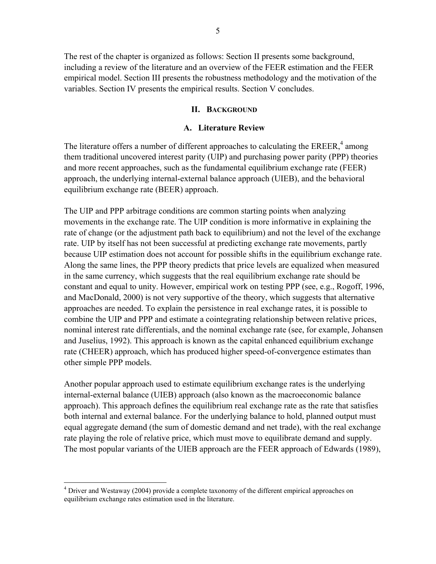The rest of the chapter is organized as follows: Section II presents some background, including a review of the literature and an overview of the FEER estimation and the FEER empirical model. Section III presents the robustness methodology and the motivation of the variables. Section IV presents the empirical results. Section V concludes.

## **II. BACKGROUND**

## **A. Literature Review**

The literature offers a number of different approaches to calculating the  $EREER$ ,<sup>4</sup> among them traditional uncovered interest parity (UIP) and purchasing power parity (PPP) theories and more recent approaches, such as the fundamental equilibrium exchange rate (FEER) approach, the underlying internal-external balance approach (UIEB), and the behavioral equilibrium exchange rate (BEER) approach.

The UIP and PPP arbitrage conditions are common starting points when analyzing movements in the exchange rate. The UIP condition is more informative in explaining the rate of change (or the adjustment path back to equilibrium) and not the level of the exchange rate. UIP by itself has not been successful at predicting exchange rate movements, partly because UIP estimation does not account for possible shifts in the equilibrium exchange rate. Along the same lines, the PPP theory predicts that price levels are equalized when measured in the same currency, which suggests that the real equilibrium exchange rate should be constant and equal to unity. However, empirical work on testing PPP (see, e.g., Rogoff, 1996, and MacDonald, 2000) is not very supportive of the theory, which suggests that alternative approaches are needed. To explain the persistence in real exchange rates, it is possible to combine the UIP and PPP and estimate a cointegrating relationship between relative prices, nominal interest rate differentials, and the nominal exchange rate (see, for example, Johansen and Juselius, 1992). This approach is known as the capital enhanced equilibrium exchange rate (CHEER) approach, which has produced higher speed-of-convergence estimates than other simple PPP models.

Another popular approach used to estimate equilibrium exchange rates is the underlying internal-external balance (UIEB) approach (also known as the macroeconomic balance approach). This approach defines the equilibrium real exchange rate as the rate that satisfies both internal and external balance. For the underlying balance to hold, planned output must equal aggregate demand (the sum of domestic demand and net trade), with the real exchange rate playing the role of relative price, which must move to equilibrate demand and supply. The most popular variants of the UIEB approach are the FEER approach of Edwards (1989),

 $\overline{a}$ 

<sup>&</sup>lt;sup>4</sup> Driver and Westaway (2004) provide a complete taxonomy of the different empirical approaches on equilibrium exchange rates estimation used in the literature.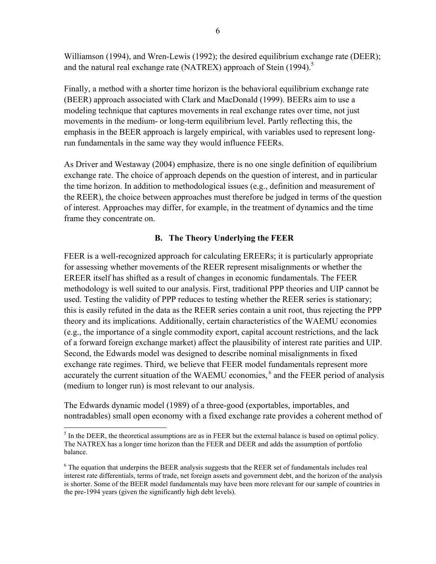Williamson (1994), and Wren-Lewis (1992); the desired equilibrium exchange rate (DEER); and the natural real exchange rate (NATREX) approach of Stein  $(1994)$ <sup>5</sup>

Finally, a method with a shorter time horizon is the behavioral equilibrium exchange rate (BEER) approach associated with Clark and MacDonald (1999). BEERs aim to use a modeling technique that captures movements in real exchange rates over time, not just movements in the medium- or long-term equilibrium level. Partly reflecting this, the emphasis in the BEER approach is largely empirical, with variables used to represent longrun fundamentals in the same way they would influence FEERs.

As Driver and Westaway (2004) emphasize, there is no one single definition of equilibrium exchange rate. The choice of approach depends on the question of interest, and in particular the time horizon. In addition to methodological issues (e.g., definition and measurement of the REER), the choice between approaches must therefore be judged in terms of the question of interest. Approaches may differ, for example, in the treatment of dynamics and the time frame they concentrate on.

## **B. The Theory Underlying the FEER**

FEER is a well-recognized approach for calculating EREERs; it is particularly appropriate for assessing whether movements of the REER represent misalignments or whether the EREER itself has shifted as a result of changes in economic fundamentals. The FEER methodology is well suited to our analysis. First, traditional PPP theories and UIP cannot be used. Testing the validity of PPP reduces to testing whether the REER series is stationary; this is easily refuted in the data as the REER series contain a unit root, thus rejecting the PPP theory and its implications. Additionally, certain characteristics of the WAEMU economies (e.g., the importance of a single commodity export, capital account restrictions, and the lack of a forward foreign exchange market) affect the plausibility of interest rate parities and UIP. Second, the Edwards model was designed to describe nominal misalignments in fixed exchange rate regimes. Third, we believe that FEER model fundamentals represent more accurately the current situation of the WAEMU economies,<sup>6</sup> and the FEER period of analysis (medium to longer run) is most relevant to our analysis.

The Edwards dynamic model (1989) of a three-good (exportables, importables, and nontradables) small open economy with a fixed exchange rate provides a coherent method of

<sup>&</sup>lt;u>.</u>  $<sup>5</sup>$  In the DEER, the theoretical assumptions are as in FEER but the external balance is based on optimal policy.</sup> The NATREX has a longer time horizon than the FEER and DEER and adds the assumption of portfolio balance.

 $6$  The equation that underpins the BEER analysis suggests that the REER set of fundamentals includes real interest rate differentials, terms of trade, net foreign assets and government debt, and the horizon of the analysis is shorter. Some of the BEER model fundamentals may have been more relevant for our sample of countries in the pre-1994 years (given the significantly high debt levels).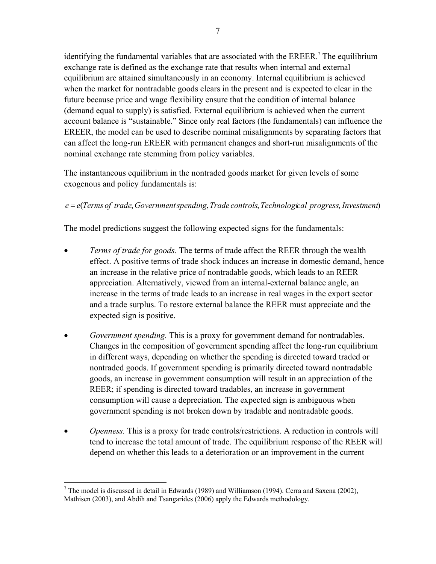identifying the fundamental variables that are associated with the EREER.<sup>7</sup> The equilibrium exchange rate is defined as the exchange rate that results when internal and external equilibrium are attained simultaneously in an economy. Internal equilibrium is achieved when the market for nontradable goods clears in the present and is expected to clear in the future because price and wage flexibility ensure that the condition of internal balance (demand equal to supply) is satisfied. External equilibrium is achieved when the current account balance is "sustainable." Since only real factors (the fundamentals) can influence the EREER, the model can be used to describe nominal misalignments by separating factors that can affect the long-run EREER with permanent changes and short-run misalignments of the nominal exchange rate stemming from policy variables.

The instantaneous equilibrium in the nontraded goods market for given levels of some exogenous and policy fundamentals is:

## *e* = *e*(*Terms of trade*, *Governmentspending*,*Trade controls*,*Technological progress*, *Investment*)

The model predictions suggest the following expected signs for the fundamentals:

- *Terms of trade for goods.* The terms of trade affect the REER through the wealth effect. A positive terms of trade shock induces an increase in domestic demand, hence an increase in the relative price of nontradable goods, which leads to an REER appreciation. Alternatively, viewed from an internal-external balance angle, an increase in the terms of trade leads to an increase in real wages in the export sector and a trade surplus. To restore external balance the REER must appreciate and the expected sign is positive.
- *Government spending.* This is a proxy for government demand for nontradables. Changes in the composition of government spending affect the long-run equilibrium in different ways, depending on whether the spending is directed toward traded or nontraded goods. If government spending is primarily directed toward nontradable goods, an increase in government consumption will result in an appreciation of the REER; if spending is directed toward tradables, an increase in government consumption will cause a depreciation. The expected sign is ambiguous when government spending is not broken down by tradable and nontradable goods.
- *Openness.* This is a proxy for trade controls/restrictions. A reduction in controls will tend to increase the total amount of trade. The equilibrium response of the REER will depend on whether this leads to a deterioration or an improvement in the current

 $\overline{a}$ <sup>7</sup> The model is discussed in detail in Edwards (1989) and Williamson (1994). Cerra and Saxena (2002), Mathisen (2003), and Abdih and Tsangarides (2006) apply the Edwards methodology.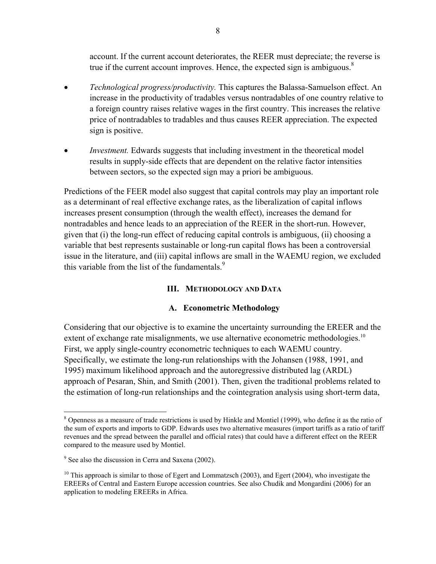account. If the current account deteriorates, the REER must depreciate; the reverse is true if the current account improves. Hence, the expected sign is ambiguous. $8$ 

- *Technological progress/productivity.* This captures the Balassa-Samuelson effect. An increase in the productivity of tradables versus nontradables of one country relative to a foreign country raises relative wages in the first country. This increases the relative price of nontradables to tradables and thus causes REER appreciation. The expected sign is positive.
- *Investment.* Edwards suggests that including investment in the theoretical model results in supply-side effects that are dependent on the relative factor intensities between sectors, so the expected sign may a priori be ambiguous.

Predictions of the FEER model also suggest that capital controls may play an important role as a determinant of real effective exchange rates, as the liberalization of capital inflows increases present consumption (through the wealth effect), increases the demand for nontradables and hence leads to an appreciation of the REER in the short-run. However, given that (i) the long-run effect of reducing capital controls is ambiguous, (ii) choosing a variable that best represents sustainable or long-run capital flows has been a controversial issue in the literature, and (iii) capital inflows are small in the WAEMU region, we excluded this variable from the list of the fundamentals. $\frac{9}{2}$ 

## **III. METHODOLOGY AND DATA**

## **A. Econometric Methodology**

Considering that our objective is to examine the uncertainty surrounding the EREER and the extent of exchange rate misalignments, we use alternative econometric methodologies.<sup>10</sup> First, we apply single-country econometric techniques to each WAEMU country. Specifically, we estimate the long-run relationships with the Johansen (1988, 1991, and 1995) maximum likelihood approach and the autoregressive distributed lag (ARDL) approach of Pesaran, Shin, and Smith (2001). Then, given the traditional problems related to the estimation of long-run relationships and the cointegration analysis using short-term data,

1

<sup>&</sup>lt;sup>8</sup> Openness as a measure of trade restrictions is used by Hinkle and Montiel (1999), who define it as the ratio of the sum of exports and imports to GDP. Edwards uses two alternative measures (import tariffs as a ratio of tariff revenues and the spread between the parallel and official rates) that could have a different effect on the REER compared to the measure used by Montiel.

<sup>&</sup>lt;sup>9</sup> See also the discussion in Cerra and Saxena (2002).

<sup>&</sup>lt;sup>10</sup> This approach is similar to those of Egert and Lommatzsch (2003), and Egert (2004), who investigate the EREERs of Central and Eastern Europe accession countries. See also Chudik and Mongardini (2006) for an application to modeling EREERs in Africa.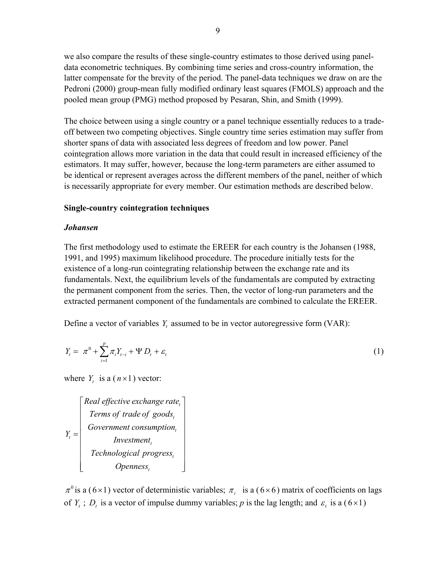we also compare the results of these single-country estimates to those derived using paneldata econometric techniques. By combining time series and cross-country information, the latter compensate for the brevity of the period. The panel-data techniques we draw on are the Pedroni (2000) group-mean fully modified ordinary least squares (FMOLS) approach and the pooled mean group (PMG) method proposed by Pesaran, Shin, and Smith (1999).

The choice between using a single country or a panel technique essentially reduces to a tradeoff between two competing objectives. Single country time series estimation may suffer from shorter spans of data with associated less degrees of freedom and low power. Panel cointegration allows more variation in the data that could result in increased efficiency of the estimators. It may suffer, however, because the long-term parameters are either assumed to be identical or represent averages across the different members of the panel, neither of which is necessarily appropriate for every member. Our estimation methods are described below.

## **Single-country cointegration techniques**

## *Johansen*

The first methodology used to estimate the EREER for each country is the Johansen (1988, 1991, and 1995) maximum likelihood procedure. The procedure initially tests for the existence of a long-run cointegrating relationship between the exchange rate and its fundamentals. Next, the equilibrium levels of the fundamentals are computed by extracting the permanent component from the series. Then, the vector of long-run parameters and the extracted permanent component of the fundamentals are combined to calculate the EREER.

Define a vector of variables  $Y_t$  assumed to be in vector autoregressive form (VAR):

$$
Y_{t} = \pi^{0} + \sum_{i=1}^{p} \pi_{i} Y_{t-i} + \Psi D_{t} + \varepsilon_{t}
$$
\n(1)

where  $Y_t$  is a  $(n \times 1)$  vector:

*t t t t t t t Real effective exchange rate Terms of trade of goods Government consumption <sup>Y</sup> Investment Technological progress Openness* ⎡ ⎤ ⎢ ⎥ = ⎣ ⎦

 $\pi^0$  is a (6×1) vector of deterministic variables;  $\pi_i$  is a (6×6) matrix of coefficients on lags of  $Y_t$ ;  $D_t$  is a vector of impulse dummy variables; *p* is the lag length; and  $\varepsilon_t$  is a (6×1)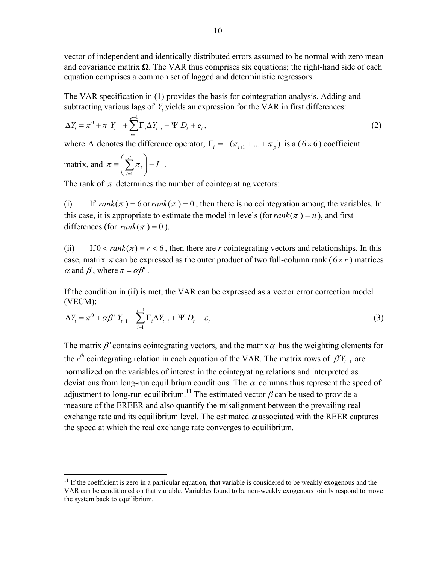vector of independent and identically distributed errors assumed to be normal with zero mean and covariance matrix  $\Omega$ . The VAR thus comprises six equations; the right-hand side of each equation comprises a common set of lagged and deterministic regressors.

The VAR specification in (1) provides the basis for cointegration analysis. Adding and subtracting various lags of Y, yields an expression for the VAR in first differences:

$$
\Delta Y_t = \pi^0 + \pi Y_{t-1} + \sum_{i=1}^{p-1} \Gamma_i \Delta Y_{t-i} + \Psi D_t + e_t, \qquad (2)
$$

where  $\Delta$  denotes the difference operator,  $\Gamma_i = -(\pi_{i+1} + ... + \pi_n)$  is a (6×6) coefficient

matrix, and 
$$
\pi \equiv \left(\sum_{i=1}^p \pi_i\right) - I
$$
.

 $\overline{a}$ 

The rank of  $\pi$  determines the number of cointegrating vectors:

(i) If  $rank(\pi) = 6$  or  $rank(\pi) = 0$ , then there is no cointegration among the variables. In this case, it is appropriate to estimate the model in levels (for  $rank(\pi) = n$ ), and first differences (for  $rank(\pi) = 0$ ).

(ii) If  $0 < rank(\pi) = r < 6$ , then there are *r* cointegrating vectors and relationships. In this case, matrix  $\pi$  can be expressed as the outer product of two full-column rank ( $6 \times r$ ) matrices  $\alpha$  and  $\beta$ , where  $\pi = \alpha \beta'$ .

If the condition in (ii) is met, the VAR can be expressed as a vector error correction model (VECM):

$$
\Delta Y_t = \pi^0 + \alpha \beta^1 Y_{t-1} + \sum_{i=1}^{p-1} \Gamma_i \Delta Y_{t-i} + \Psi D_t + \varepsilon_t.
$$
\n
$$
(3)
$$

The matrix  $\beta'$  contains cointegrating vectors, and the matrix  $\alpha$  has the weighting elements for the  $r^{th}$  cointegrating relation in each equation of the VAR. The matrix rows of  $\beta'Y_{t-1}$  are normalized on the variables of interest in the cointegrating relations and interpreted as deviations from long-run equilibrium conditions. The  $\alpha$  columns thus represent the speed of adjustment to long-run equilibrium.<sup>11</sup> The estimated vector  $\beta$  can be used to provide a measure of the EREER and also quantify the misalignment between the prevailing real exchange rate and its equilibrium level. The estimated  $\alpha$  associated with the REER captures the speed at which the real exchange rate converges to equilibrium.

 $11$  If the coefficient is zero in a particular equation, that variable is considered to be weakly exogenous and the VAR can be conditioned on that variable. Variables found to be non-weakly exogenous jointly respond to move the system back to equilibrium.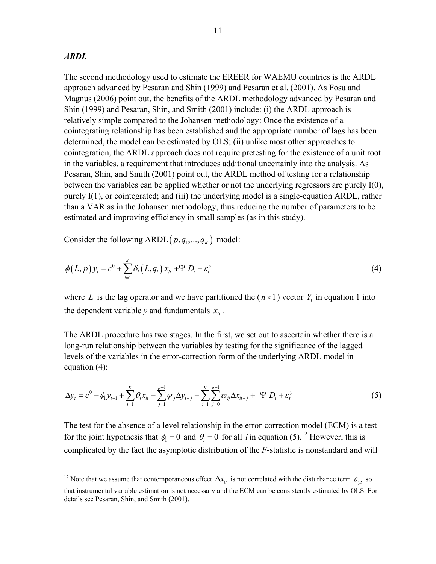#### *ARDL*

 $\overline{a}$ 

The second methodology used to estimate the EREER for WAEMU countries is the ARDL approach advanced by Pesaran and Shin (1999) and Pesaran et al. (2001). As Fosu and Magnus (2006) point out, the benefits of the ARDL methodology advanced by Pesaran and Shin (1999) and Pesaran, Shin, and Smith (2001) include: (i) the ARDL approach is relatively simple compared to the Johansen methodology: Once the existence of a cointegrating relationship has been established and the appropriate number of lags has been determined, the model can be estimated by OLS; (ii) unlike most other approaches to cointegration, the ARDL approach does not require pretesting for the existence of a unit root in the variables, a requirement that introduces additional uncertainly into the analysis. As Pesaran, Shin, and Smith (2001) point out, the ARDL method of testing for a relationship between the variables can be applied whether or not the underlying regressors are purely I(0), purely I(1), or cointegrated; and (iii) the underlying model is a single-equation ARDL, rather than a VAR as in the Johansen methodology, thus reducing the number of parameters to be estimated and improving efficiency in small samples (as in this study).

Consider the following ARDL $(p, q_1, ..., q_K)$  model:

$$
\phi(L,p)y_t = c^0 + \sum_{i=1}^K \delta_i(L,q_i) x_{it} + \Psi D_t + \varepsilon_i^y
$$
\n
$$
\tag{4}
$$

where *L* is the lag operator and we have partitioned the  $(n \times 1)$  vector  $Y_t$  in equation 1 into the dependent variable *y* and fundamentals  $x_i$ .

The ARDL procedure has two stages. In the first, we set out to ascertain whether there is a long-run relationship between the variables by testing for the significance of the lagged levels of the variables in the error-correction form of the underlying ARDL model in equation (4):

$$
\Delta y_t = c^0 - \phi_1 y_{t-1} + \sum_{i=1}^K \theta_i x_{it} - \sum_{j=1}^{p-1} \psi_j \Delta y_{t-j} + \sum_{i=1}^K \sum_{j=0}^{q-1} \overline{\omega}_{ij} \Delta x_{it-j} + \Psi D_t + \varepsilon_t^y
$$
(5)

The test for the absence of a level relationship in the error-correction model (ECM) is a test for the joint hypothesis that  $\phi_i = 0$  and  $\theta_i = 0$  for all *i* in equation (5).<sup>12</sup> However, this is complicated by the fact the asymptotic distribution of the *F*-statistic is nonstandard and will

<sup>&</sup>lt;sup>12</sup> Note that we assume that contemporaneous effect  $\Delta x_i$  is not correlated with the disturbance term  $\epsilon_{y}$  so that instrumental variable estimation is not necessary and the ECM can be consistently estimated by OLS. For details see Pesaran, Shin, and Smith (2001).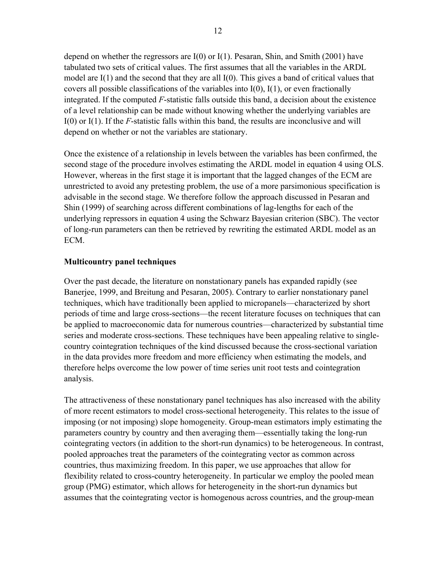depend on whether the regressors are  $I(0)$  or  $I(1)$ . Pesaran, Shin, and Smith (2001) have tabulated two sets of critical values. The first assumes that all the variables in the ARDL model are I(1) and the second that they are all I(0). This gives a band of critical values that covers all possible classifications of the variables into  $I(0)$ ,  $I(1)$ , or even fractionally integrated. If the computed *F*-statistic falls outside this band, a decision about the existence of a level relationship can be made without knowing whether the underlying variables are I(0) or I(1). If the *F*-statistic falls within this band, the results are inconclusive and will depend on whether or not the variables are stationary.

Once the existence of a relationship in levels between the variables has been confirmed, the second stage of the procedure involves estimating the ARDL model in equation 4 using OLS. However, whereas in the first stage it is important that the lagged changes of the ECM are unrestricted to avoid any pretesting problem, the use of a more parsimonious specification is advisable in the second stage. We therefore follow the approach discussed in Pesaran and Shin (1999) of searching across different combinations of lag-lengths for each of the underlying repressors in equation 4 using the Schwarz Bayesian criterion (SBC). The vector of long-run parameters can then be retrieved by rewriting the estimated ARDL model as an ECM.

## **Multicountry panel techniques**

Over the past decade, the literature on nonstationary panels has expanded rapidly (see Banerjee, 1999, and Breitung and Pesaran, 2005). Contrary to earlier nonstationary panel techniques, which have traditionally been applied to micropanels—characterized by short periods of time and large cross-sections—the recent literature focuses on techniques that can be applied to macroeconomic data for numerous countries—characterized by substantial time series and moderate cross-sections. These techniques have been appealing relative to singlecountry cointegration techniques of the kind discussed because the cross-sectional variation in the data provides more freedom and more efficiency when estimating the models, and therefore helps overcome the low power of time series unit root tests and cointegration analysis.

The attractiveness of these nonstationary panel techniques has also increased with the ability of more recent estimators to model cross-sectional heterogeneity. This relates to the issue of imposing (or not imposing) slope homogeneity. Group-mean estimators imply estimating the parameters country by country and then averaging them—essentially taking the long-run cointegrating vectors (in addition to the short-run dynamics) to be heterogeneous. In contrast, pooled approaches treat the parameters of the cointegrating vector as common across countries, thus maximizing freedom. In this paper, we use approaches that allow for flexibility related to cross-country heterogeneity. In particular we employ the pooled mean group (PMG) estimator, which allows for heterogeneity in the short-run dynamics but assumes that the cointegrating vector is homogenous across countries, and the group-mean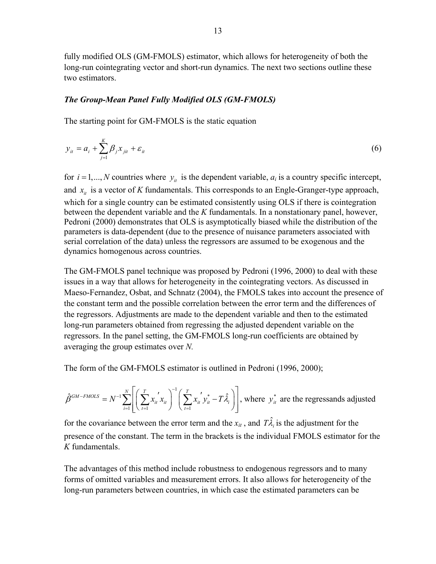fully modified OLS (GM-FMOLS) estimator, which allows for heterogeneity of both the long-run cointegrating vector and short-run dynamics. The next two sections outline these two estimators.

## *The Group-Mean Panel Fully Modified OLS (GM-FMOLS)*

The starting point for GM-FMOLS is the static equation

$$
y_{it} = a_i + \sum_{j=1}^{K} \beta_j x_{jit} + \varepsilon_{it}
$$
\n
$$
\tag{6}
$$

for  $i = 1, ..., N$  countries where  $y_i$  is the dependent variable,  $a_i$  is a country specific intercept, and  $x_{i}$  is a vector of K fundamentals. This corresponds to an Engle-Granger-type approach, which for a single country can be estimated consistently using OLS if there is cointegration between the dependent variable and the *K* fundamentals. In a nonstationary panel, however, Pedroni (2000) demonstrates that OLS is asymptotically biased while the distribution of the parameters is data-dependent (due to the presence of nuisance parameters associated with serial correlation of the data) unless the regressors are assumed to be exogenous and the dynamics homogenous across countries.

The GM-FMOLS panel technique was proposed by Pedroni (1996, 2000) to deal with these issues in a way that allows for heterogeneity in the cointegrating vectors. As discussed in Maeso-Fernandez, Osbat, and Schnatz (2004), the FMOLS takes into account the presence of the constant term and the possible correlation between the error term and the differences of the regressors. Adjustments are made to the dependent variable and then to the estimated long-run parameters obtained from regressing the adjusted dependent variable on the regressors. In the panel setting, the GM-FMOLS long-run coefficients are obtained by averaging the group estimates over *N.*

The form of the GM-FMOLS estimator is outlined in Pedroni (1996, 2000);

$$
\hat{\beta}^{GM-FMOLS} = N^{-1} \sum_{i=1}^{N} \left[ \left( \sum_{t=1}^{T} x_{it}^{'} x_{it} \right)^{-1} \left( \sum_{t=1}^{T} x_{it}^{'} y_{it}^{*} - T \hat{\lambda}_{i} \right) \right],
$$
 where  $y_{it}^{*}$  are the regressands adjusted

for the covariance between the error term and the  $x_{it}$ , and  $T\hat{\lambda}_i$  is the adjustment for the presence of the constant. The term in the brackets is the individual FMOLS estimator for the *K* fundamentals.

The advantages of this method include robustness to endogenous regressors and to many forms of omitted variables and measurement errors. It also allows for heterogeneity of the long-run parameters between countries, in which case the estimated parameters can be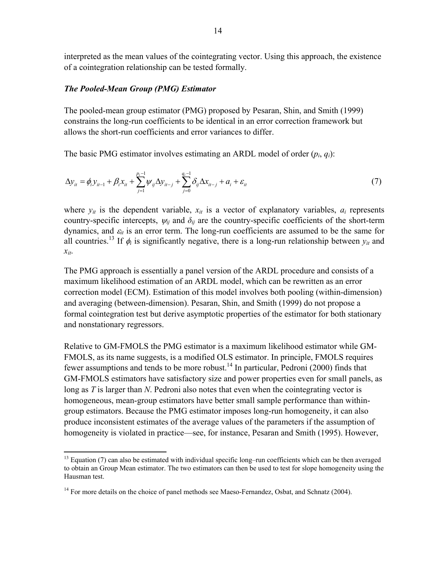interpreted as the mean values of the cointegrating vector. Using this approach, the existence of a cointegration relationship can be tested formally.

#### *The Pooled-Mean Group (PMG) Estimator*

<u>.</u>

The pooled-mean group estimator (PMG) proposed by Pesaran, Shin, and Smith (1999) constrains the long-run coefficients to be identical in an error correction framework but allows the short-run coefficients and error variances to differ.

The basic PMG estimator involves estimating an ARDL model of order (*pi*, *qi*):

$$
\Delta y_{it} = \phi_i y_{it-1} + \beta_i x_{it} + \sum_{j=1}^{p_i - 1} \psi_{ij} \Delta y_{it-j} + \sum_{j=0}^{q_i - 1} \delta_{ij} \Delta x_{it-j} + a_i + \varepsilon_{it}
$$
(7)

where  $y_{it}$  is the dependent variable,  $x_{it}$  is a vector of explanatory variables,  $a_i$  represents country-specific intercepts,  $\psi_{ij}$  and  $\delta_{ij}$  are the country-specific coefficients of the short-term dynamics, and  $\varepsilon_{it}$  is an error term. The long-run coefficients are assumed to be the same for all countries.<sup>13</sup> If  $\phi_i$  is significantly negative, there is a long-run relationship between  $y_{it}$  and *xit*.

The PMG approach is essentially a panel version of the ARDL procedure and consists of a maximum likelihood estimation of an ARDL model, which can be rewritten as an error correction model (ECM). Estimation of this model involves both pooling (within-dimension) and averaging (between-dimension). Pesaran, Shin, and Smith (1999) do not propose a formal cointegration test but derive asymptotic properties of the estimator for both stationary and nonstationary regressors.

Relative to GM-FMOLS the PMG estimator is a maximum likelihood estimator while GM-FMOLS, as its name suggests, is a modified OLS estimator. In principle, FMOLS requires fewer assumptions and tends to be more robust.<sup>14</sup> In particular, Pedroni (2000) finds that GM-FMOLS estimators have satisfactory size and power properties even for small panels, as long as *T* is larger than *N*. Pedroni also notes that even when the cointegrating vector is homogeneous, mean-group estimators have better small sample performance than withingroup estimators. Because the PMG estimator imposes long-run homogeneity, it can also produce inconsistent estimates of the average values of the parameters if the assumption of homogeneity is violated in practice—see, for instance, Pesaran and Smith (1995). However,

 $13$  Equation (7) can also be estimated with individual specific long–run coefficients which can be then averaged to obtain an Group Mean estimator. The two estimators can then be used to test for slope homogeneity using the Hausman test.

<sup>&</sup>lt;sup>14</sup> For more details on the choice of panel methods see Maeso-Fernandez, Osbat, and Schnatz (2004).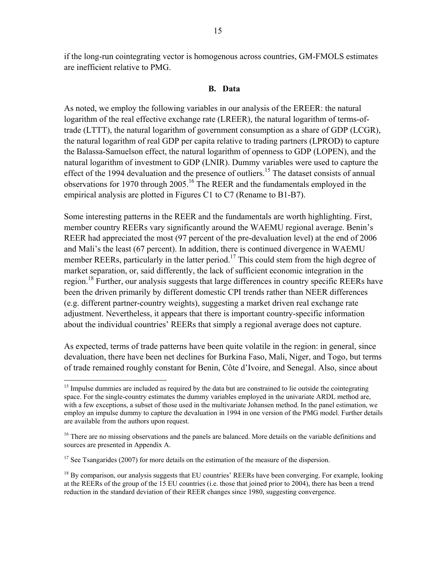if the long-run cointegrating vector is homogenous across countries, GM-FMOLS estimates are inefficient relative to PMG.

#### **B. Data**

As noted, we employ the following variables in our analysis of the EREER: the natural logarithm of the real effective exchange rate (LREER), the natural logarithm of terms-oftrade (LTTT), the natural logarithm of government consumption as a share of GDP (LCGR), the natural logarithm of real GDP per capita relative to trading partners (LPROD) to capture the Balassa-Samuelson effect, the natural logarithm of openness to GDP (LOPEN), and the natural logarithm of investment to GDP (LNIR). Dummy variables were used to capture the effect of the 1994 devaluation and the presence of outliers.<sup>15</sup> The dataset consists of annual observations for 1970 through 2005.16 The REER and the fundamentals employed in the empirical analysis are plotted in Figures C1 to C7 (Rename to B1-B7).

Some interesting patterns in the REER and the fundamentals are worth highlighting. First, member country REERs vary significantly around the WAEMU regional average. Benin's REER had appreciated the most (97 percent of the pre-devaluation level) at the end of 2006 and Mali's the least (67 percent). In addition, there is continued divergence in WAEMU member REERs, particularly in the latter period.<sup>17</sup> This could stem from the high degree of market separation, or, said differently, the lack of sufficient economic integration in the region.<sup>18</sup> Further, our analysis suggests that large differences in country specific REERs have been the driven primarily by different domestic CPI trends rather than NEER differences (e.g. different partner-country weights), suggesting a market driven real exchange rate adjustment. Nevertheless, it appears that there is important country-specific information about the individual countries' REERs that simply a regional average does not capture.

As expected, terms of trade patterns have been quite volatile in the region: in general, since devaluation, there have been net declines for Burkina Faso, Mali, Niger, and Togo, but terms of trade remained roughly constant for Benin, Côte d'Ivoire, and Senegal. Also, since about

<u>.</u>

<sup>&</sup>lt;sup>15</sup> Impulse dummies are included as required by the data but are constrained to lie outside the cointegrating space. For the single-country estimates the dummy variables employed in the univariate ARDL method are, with a few exceptions, a subset of those used in the multivariate Johansen method. In the panel estimation, we employ an impulse dummy to capture the devaluation in 1994 in one version of the PMG model. Further details are available from the authors upon request.

<sup>&</sup>lt;sup>16</sup> There are no missing observations and the panels are balanced. More details on the variable definitions and sources are presented in Appendix A.

 $17$  See Tsangarides (2007) for more details on the estimation of the measure of the dispersion.

<sup>&</sup>lt;sup>18</sup> By comparison, our analysis suggests that EU countries' REERs have been converging. For example, looking at the REERs of the group of the 15 EU countries (i.e. those that joined prior to 2004), there has been a trend reduction in the standard deviation of their REER changes since 1980, suggesting convergence.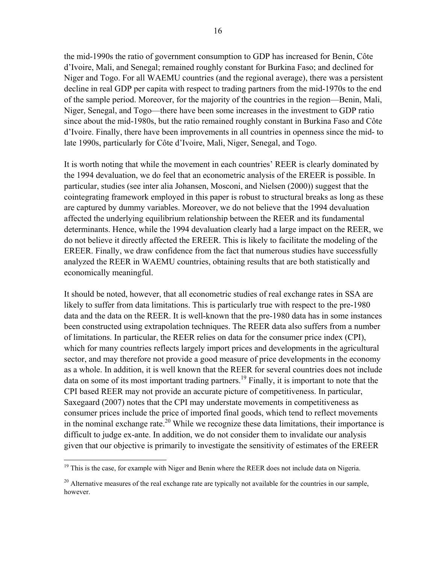the mid-1990s the ratio of government consumption to GDP has increased for Benin, Côte d'Ivoire, Mali, and Senegal; remained roughly constant for Burkina Faso; and declined for Niger and Togo. For all WAEMU countries (and the regional average), there was a persistent decline in real GDP per capita with respect to trading partners from the mid-1970s to the end of the sample period. Moreover, for the majority of the countries in the region—Benin, Mali, Niger, Senegal, and Togo—there have been some increases in the investment to GDP ratio since about the mid-1980s, but the ratio remained roughly constant in Burkina Faso and Côte d'Ivoire. Finally, there have been improvements in all countries in openness since the mid- to late 1990s, particularly for Côte d'Ivoire, Mali, Niger, Senegal, and Togo.

It is worth noting that while the movement in each countries' REER is clearly dominated by the 1994 devaluation, we do feel that an econometric analysis of the EREER is possible. In particular, studies (see inter alia Johansen, Mosconi, and Nielsen (2000)) suggest that the cointegrating framework employed in this paper is robust to structural breaks as long as these are captured by dummy variables. Moreover, we do not believe that the 1994 devaluation affected the underlying equilibrium relationship between the REER and its fundamental determinants. Hence, while the 1994 devaluation clearly had a large impact on the REER, we do not believe it directly affected the EREER. This is likely to facilitate the modeling of the EREER. Finally, we draw confidence from the fact that numerous studies have successfully analyzed the REER in WAEMU countries, obtaining results that are both statistically and economically meaningful.

It should be noted, however, that all econometric studies of real exchange rates in SSA are likely to suffer from data limitations. This is particularly true with respect to the pre-1980 data and the data on the REER. It is well-known that the pre-1980 data has in some instances been constructed using extrapolation techniques. The REER data also suffers from a number of limitations. In particular, the REER relies on data for the consumer price index (CPI), which for many countries reflects largely import prices and developments in the agricultural sector, and may therefore not provide a good measure of price developments in the economy as a whole. In addition, it is well known that the REER for several countries does not include data on some of its most important trading partners.<sup>19</sup> Finally, it is important to note that the CPI based REER may not provide an accurate picture of competitiveness. In particular, Saxegaard (2007) notes that the CPI may understate movements in competitiveness as consumer prices include the price of imported final goods, which tend to reflect movements in the nominal exchange rate.<sup>20</sup> While we recognize these data limitations, their importance is difficult to judge ex-ante. In addition, we do not consider them to invalidate our analysis given that our objective is primarily to investigate the sensitivity of estimates of the EREER

 $\overline{a}$ 

<sup>&</sup>lt;sup>19</sup> This is the case, for example with Niger and Benin where the REER does not include data on Nigeria.

<sup>&</sup>lt;sup>20</sup> Alternative measures of the real exchange rate are typically not available for the countries in our sample, however.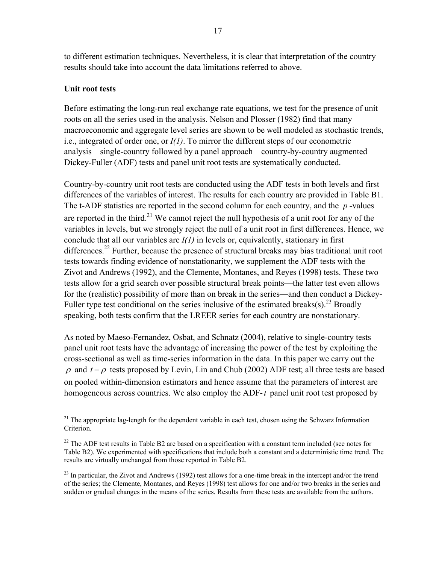to different estimation techniques. Nevertheless, it is clear that interpretation of the country results should take into account the data limitations referred to above.

## **Unit root tests**

 $\overline{a}$ 

Before estimating the long-run real exchange rate equations, we test for the presence of unit roots on all the series used in the analysis. Nelson and Plosser (1982) find that many macroeconomic and aggregate level series are shown to be well modeled as stochastic trends, i.e., integrated of order one, or *I(1)*. To mirror the different steps of our econometric analysis—single-country followed by a panel approach—country-by-country augmented Dickey-Fuller (ADF) tests and panel unit root tests are systematically conducted.

Country-by-country unit root tests are conducted using the ADF tests in both levels and first differences of the variables of interest. The results for each country are provided in Table B1. The t-ADF statistics are reported in the second column for each country, and the *p* -values are reported in the third.<sup>21</sup> We cannot reject the null hypothesis of a unit root for any of the variables in levels, but we strongly reject the null of a unit root in first differences. Hence, we conclude that all our variables are *I(1)* in levels or, equivalently, stationary in first differences.<sup>22</sup> Further, because the presence of structural breaks may bias traditional unit root tests towards finding evidence of nonstationarity, we supplement the ADF tests with the Zivot and Andrews (1992), and the Clemente, Montanes, and Reyes (1998) tests. These two tests allow for a grid search over possible structural break points—the latter test even allows for the (realistic) possibility of more than on break in the series—and then conduct a Dickey-Fuller type test conditional on the series inclusive of the estimated breaks(s).<sup>23</sup> Broadly speaking, both tests confirm that the LREER series for each country are nonstationary.

As noted by Maeso-Fernandez, Osbat, and Schnatz (2004), relative to single-country tests panel unit root tests have the advantage of increasing the power of the test by exploiting the cross-sectional as well as time-series information in the data. In this paper we carry out the  $\rho$  and  $t - \rho$  tests proposed by Levin, Lin and Chub (2002) ADF test; all three tests are based on pooled within-dimension estimators and hence assume that the parameters of interest are homogeneous across countries. We also employ the ADF-*t* panel unit root test proposed by

 $21$  The appropriate lag-length for the dependent variable in each test, chosen using the Schwarz Information Criterion.

<sup>&</sup>lt;sup>22</sup> The ADF test results in Table B2 are based on a specification with a constant term included (see notes for Table B2). We experimented with specifications that include both a constant and a deterministic time trend. The results are virtually unchanged from those reported in Table B2.

 $^{23}$  In particular, the Zivot and Andrews (1992) test allows for a one-time break in the intercept and/or the trend of the series; the Clemente, Montanes, and Reyes (1998) test allows for one and/or two breaks in the series and sudden or gradual changes in the means of the series. Results from these tests are available from the authors.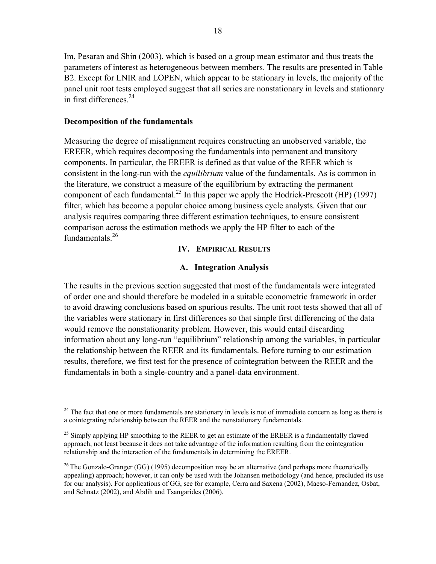Im, Pesaran and Shin (2003), which is based on a group mean estimator and thus treats the parameters of interest as heterogeneous between members. The results are presented in Table B2. Except for LNIR and LOPEN, which appear to be stationary in levels, the majority of the panel unit root tests employed suggest that all series are nonstationary in levels and stationary in first differences. $24$ 

## **Decomposition of the fundamentals**

 $\overline{a}$ 

Measuring the degree of misalignment requires constructing an unobserved variable, the EREER, which requires decomposing the fundamentals into permanent and transitory components. In particular, the EREER is defined as that value of the REER which is consistent in the long-run with the *equilibrium* value of the fundamentals. As is common in the literature, we construct a measure of the equilibrium by extracting the permanent component of each fundamental.<sup>25</sup> In this paper we apply the Hodrick-Prescott (HP) (1997) filter, which has become a popular choice among business cycle analysts. Given that our analysis requires comparing three different estimation techniques, to ensure consistent comparison across the estimation methods we apply the HP filter to each of the fundamentals $^{26}$ 

## **IV. EMPIRICAL RESULTS**

## **A. Integration Analysis**

The results in the previous section suggested that most of the fundamentals were integrated of order one and should therefore be modeled in a suitable econometric framework in order to avoid drawing conclusions based on spurious results. The unit root tests showed that all of the variables were stationary in first differences so that simple first differencing of the data would remove the nonstationarity problem. However, this would entail discarding information about any long-run "equilibrium" relationship among the variables, in particular the relationship between the REER and its fundamentals. Before turning to our estimation results, therefore, we first test for the presence of cointegration between the REER and the fundamentals in both a single-country and a panel-data environment.

 $24$  The fact that one or more fundamentals are stationary in levels is not of immediate concern as long as there is a cointegrating relationship between the REER and the nonstationary fundamentals.

<sup>&</sup>lt;sup>25</sup> Simply applying HP smoothing to the REER to get an estimate of the EREER is a fundamentally flawed approach, not least because it does not take advantage of the information resulting from the cointegration relationship and the interaction of the fundamentals in determining the EREER.

<sup>&</sup>lt;sup>26</sup> The Gonzalo-Granger (GG) (1995) decomposition may be an alternative (and perhaps more theoretically appealing) approach; however, it can only be used with the Johansen methodology (and hence, precluded its use for our analysis). For applications of GG, see for example, Cerra and Saxena (2002), Maeso-Fernandez, Osbat, and Schnatz (2002), and Abdih and Tsangarides (2006).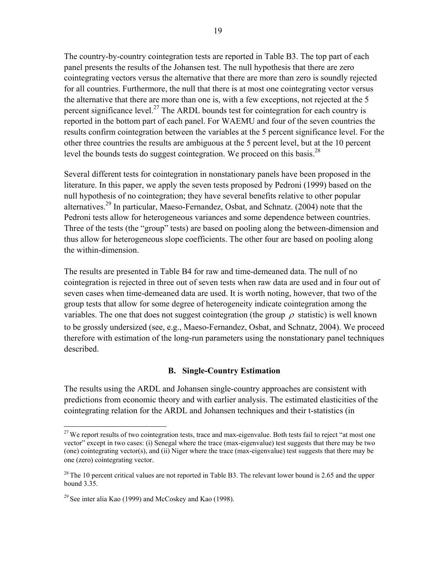The country-by-country cointegration tests are reported in Table B3. The top part of each panel presents the results of the Johansen test. The null hypothesis that there are zero cointegrating vectors versus the alternative that there are more than zero is soundly rejected for all countries. Furthermore, the null that there is at most one cointegrating vector versus the alternative that there are more than one is, with a few exceptions, not rejected at the 5 percent significance level.<sup>27</sup> The ARDL bounds test for cointegration for each country is reported in the bottom part of each panel. For WAEMU and four of the seven countries the results confirm cointegration between the variables at the 5 percent significance level. For the other three countries the results are ambiguous at the 5 percent level, but at the 10 percent level the bounds tests do suggest cointegration. We proceed on this basis.<sup>28</sup>

Several different tests for cointegration in nonstationary panels have been proposed in the literature. In this paper, we apply the seven tests proposed by Pedroni (1999) based on the null hypothesis of no cointegration; they have several benefits relative to other popular alternatives.<sup>29</sup> In particular, Maeso-Fernandez, Osbat, and Schnatz. (2004) note that the Pedroni tests allow for heterogeneous variances and some dependence between countries. Three of the tests (the "group" tests) are based on pooling along the between-dimension and thus allow for heterogeneous slope coefficients. The other four are based on pooling along the within-dimension.

The results are presented in Table B4 for raw and time-demeaned data. The null of no cointegration is rejected in three out of seven tests when raw data are used and in four out of seven cases when time-demeaned data are used. It is worth noting, however, that two of the group tests that allow for some degree of heterogeneity indicate cointegration among the variables. The one that does not suggest cointegration (the group  $\rho$  statistic) is well known to be grossly undersized (see, e.g., Maeso-Fernandez, Osbat, and Schnatz, 2004). We proceed therefore with estimation of the long-run parameters using the nonstationary panel techniques described.

## **B. Single-Country Estimation**

The results using the ARDL and Johansen single-country approaches are consistent with predictions from economic theory and with earlier analysis. The estimated elasticities of the cointegrating relation for the ARDL and Johansen techniques and their t-statistics (in

 $\overline{a}$ 

<sup>&</sup>lt;sup>27</sup> We report results of two cointegration tests, trace and max-eigenvalue. Both tests fail to reject "at most one vector" except in two cases: (i) Senegal where the trace (max-eigenvalue) test suggests that there may be two (one) cointegrating vector(s), and (ii) Niger where the trace (max-eigenvalue) test suggests that there may be one (zero) cointegrating vector.

<sup>&</sup>lt;sup>28</sup> The 10 percent critical values are not reported in Table B3. The relevant lower bound is 2.65 and the upper bound 3.35.

<sup>&</sup>lt;sup>29</sup> See inter alia Kao (1999) and McCoskey and Kao (1998).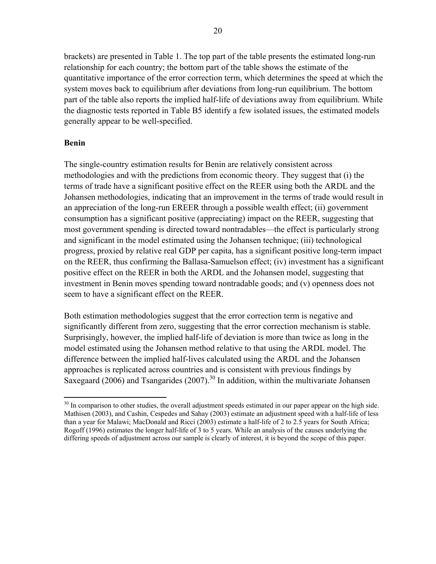brackets) are presented in Table 1. The top part of the table presents the estimated long-run relationship for each country; the bottom part of the table shows the estimate of the quantitative importance of the error correction term, which determines the speed at which the system moves back to equilibrium after deviations from long-run equilibrium. The bottom part of the table also reports the implied half-life of deviations away from equilibrium. While the diagnostic tests reported in Table B5 identify a few isolated issues, the estimated models generally appear to be well-specified.

## **Benin**

The single-country estimation results for Benin are relatively consistent across methodologies and with the predictions from economic theory. They suggest that (i) the terms of trade have a significant positive effect on the REER using both the ARDL and the Johansen methodologies, indicating that an improvement in the terms of trade would result in an appreciation of the long-run EREER through a possible wealth effect; (ii) government consumption has a significant positive (appreciating) impact on the REER, suggesting that most government spending is directed toward nontradables—the effect is particularly strong and significant in the model estimated using the Johansen technique; (iii) technological progress, proxied by relative real GDP per capita, has a significant positive long-term impact on the REER, thus confirming the Ballasa-Samuelson effect; (iv) investment has a significant positive effect on the REER in both the ARDL and the Johansen model, suggesting that investment in Benin moves spending toward nontradable goods; and (v) openness does not seem to have a significant effect on the REER.

Both estimation methodologies suggest that the error correction term is negative and significantly different from zero, suggesting that the error correction mechanism is stable. Surprisingly, however, the implied half-life of deviation is more than twice as long in the model estimated using the Johansen method relative to that using the ARDL model. The difference between the implied half-lives calculated using the ARDL and the Johansen approaches is replicated across countries and is consistent with previous findings by Saxegaard (2006) and Tsangarides (2007).<sup>30</sup> In addition, within the multivariate Johansen

 $\overline{a}$  $30$  In comparison to other studies, the overall adjustment speeds estimated in our paper appear on the high side. Mathisen (2003), and Cashin, Cespedes and Sahay (2003) estimate an adjustment speed with a half-life of less than a year for Malawi; MacDonald and Ricci (2003) estimate a half-life of 2 to 2.5 years for South Africa; Rogoff (1996) estimates the longer half-life of 3 to 5 years. While an analysis of the causes underlying the differing speeds of adjustment across our sample is clearly of interest, it is beyond the scope of this paper.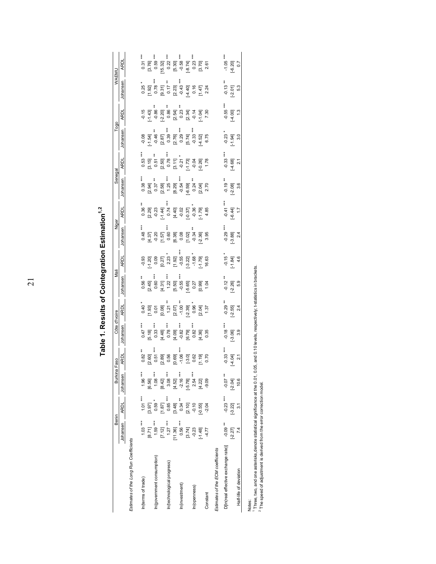|                                                                                                                                                                  |                     |                                                 |                       |                           | Table 1. Results of Cointegration Estimation <sup>1,2</sup>        |                              |                                                 |                                                   |                                                              |                                                        |                                |                                                                                                                                                                                                                                                                                                                                                      |                                                  |                                      |                                                                                        |                                                                                 |
|------------------------------------------------------------------------------------------------------------------------------------------------------------------|---------------------|-------------------------------------------------|-----------------------|---------------------------|--------------------------------------------------------------------|------------------------------|-------------------------------------------------|---------------------------------------------------|--------------------------------------------------------------|--------------------------------------------------------|--------------------------------|------------------------------------------------------------------------------------------------------------------------------------------------------------------------------------------------------------------------------------------------------------------------------------------------------------------------------------------------------|--------------------------------------------------|--------------------------------------|----------------------------------------------------------------------------------------|---------------------------------------------------------------------------------|
|                                                                                                                                                                  | Benin               |                                                 | Burkina               | Faso                      | Côte d'Ivoire                                                      |                              | Maii                                            |                                                   | Niger                                                        |                                                        | Senegal                        |                                                                                                                                                                                                                                                                                                                                                      | Togo                                             |                                      | WAEMU                                                                                  |                                                                                 |
|                                                                                                                                                                  | Johansen            | <b>ARDL</b>                                     | Johansen              | <b>ARDL</b>               | Johansen                                                           | <b>ARDL</b>                  | Johansen                                        | <b>ARDL</b>                                       | Johansen                                                     | <b>ARDL</b>                                            | Johansen                       | <b>ARDL</b>                                                                                                                                                                                                                                                                                                                                          | Johansen                                         | <b>ARDL</b>                          | Johansen                                                                               | <b>ARDL</b>                                                                     |
| Estimates of the Long Run Coefficients                                                                                                                           |                     |                                                 |                       |                           |                                                                    |                              |                                                 |                                                   |                                                              |                                                        |                                |                                                                                                                                                                                                                                                                                                                                                      |                                                  |                                      |                                                                                        |                                                                                 |
| In(terms of trade)                                                                                                                                               | $1.03***$           | $1.01***$                                       | $1.96***$             | $0.82$ **                 | $0.47***$                                                          | 0.40                         |                                                 | $-0.93$                                           | ***<br>0.48                                                  |                                                        | ***<br>0.38                    | $0.53***$                                                                                                                                                                                                                                                                                                                                            | $-0.08$                                          | $-0.15$                              | 0.25                                                                                   | $0.31***$                                                                       |
|                                                                                                                                                                  | [8.71]              | [3.97]                                          | [6.56]                | [2.60]                    | $[5.18]$<br>$0.33$ $*$                                             | $1.93$<br>0.01               | $\begin{array}{c} 0.56 \\ 2.45 \end{array}$ *** | $-1.20$                                           |                                                              | $0.36$<br>$2.29$<br>$0.23$<br>$1.4$<br>$1.4$<br>$0.74$ | $[2.94]$<br>0.37               | $[3.15]$<br>$0.51$                                                                                                                                                                                                                                                                                                                                   |                                                  | $-1.43$<br>$-0.86$                   | $\begin{bmatrix} 1.92 \\ 0.78 \end{bmatrix}$                                           | $[3.76]$ ***                                                                    |
| In(government consumption)                                                                                                                                       | $1.59***$           | $0.59*$                                         | $1.08***$             | $* * *$<br>0.51           | ***                                                                |                              |                                                 | 0.09                                              |                                                              |                                                        | *                              | $\ast$                                                                                                                                                                                                                                                                                                                                               | $-1.54$ ]<br>-0.46 $*$                           |                                      |                                                                                        |                                                                                 |
|                                                                                                                                                                  | [7.12]              | 1.87]                                           | [8.42]                | [2.89]                    | $\begin{bmatrix} 4.48 \\ 0.78 \end{bmatrix}$                       | [0.08]                       | $[4.31]$<br>1.22 ***                            | [0.27]                                            | 1.371<br>0.20<br>0.60<br>0.60                                |                                                        | $[2.58]$<br>1.25               | $[2.50]$<br>0.78 $*$                                                                                                                                                                                                                                                                                                                                 | $\begin{bmatrix} 2.87 \\ 0.39 \end{bmatrix}$ *** | [0.20]                               | $[9.31]$<br>0.17 $*$                                                                   | $[15.32]$ ***                                                                   |
| In(technological progress)                                                                                                                                       | $1.27***$           | $0.85***$                                       | $3.08***$             | 0.56                      | ł                                                                  |                              |                                                 |                                                   |                                                              |                                                        | į                              |                                                                                                                                                                                                                                                                                                                                                      |                                                  |                                      |                                                                                        |                                                                                 |
|                                                                                                                                                                  | [11.36]             |                                                 | [4.52]                | $[0.69]$<br>-1.06 $\cdot$ |                                                                    | $[2.07]$<br>-1.00 $^{\circ}$ | [5.50]                                          | $\begin{bmatrix} 1.92 \\ -0.55 \end{bmatrix}$ *** |                                                              |                                                        | $[8.29]$<br>-0.54              |                                                                                                                                                                                                                                                                                                                                                      |                                                  |                                      |                                                                                        |                                                                                 |
| In(investment)                                                                                                                                                   | $0.56***$           | $\begin{bmatrix} 3.48 \\ 0.34 \end{bmatrix}$ ** | $-2.16$ ***           | ł                         |                                                                    |                              |                                                 |                                                   |                                                              |                                                        | ŧ                              |                                                                                                                                                                                                                                                                                                                                                      | į                                                |                                      |                                                                                        |                                                                                 |
|                                                                                                                                                                  |                     | [2.10]                                          | $[-5.78]$<br>2.54 *** |                           | $\begin{bmatrix} 4.09 \\ -0.82 \\ 16.79 \\ 0.82 \end{bmatrix}$ *** | $\frac{12.39}{0.96}$         | $-5.65$                                         |                                                   | $\begin{bmatrix} 6.38 \\ 0.08 \\ 1.02 \\ 0.34 \end{bmatrix}$ | $4.40$<br>$-0.02$<br>$-0.37$<br>$-0.36$                |                                |                                                                                                                                                                                                                                                                                                                                                      |                                                  |                                      |                                                                                        |                                                                                 |
| In(openness)                                                                                                                                                     | $[3.74]$<br>$-0.23$ |                                                 |                       | [3.0] 0.62                |                                                                    |                              | 0.27                                            | $[-3.22]$                                         |                                                              |                                                        |                                |                                                                                                                                                                                                                                                                                                                                                      |                                                  |                                      |                                                                                        |                                                                                 |
|                                                                                                                                                                  | $\frac{148}{4.77}$  | $-0.55$                                         | [4.22]                | [61.1]                    | $4.36$<br>0.35                                                     | [2.04]                       | 1.04                                            | $-1.79$ ]<br>16.63                                | $-2.36$ ]                                                    | $-1.79$ ]<br>4.85                                      | 6591<br>0.24<br>0.2.70<br>2.70 | $\begin{bmatrix} 3 & 7 \\ -0 & 2 \\ -1 & -0 \\ 0 & 0 \\ 0 & 0 \\ 1 & 78 \\ 1 & 0 \\ 1 & 0 \\ 1 & 0 \\ 1 & 0 \\ 1 & 0 \\ 1 & 0 \\ 1 & 0 \\ 1 & 0 \\ 1 & 0 \\ 1 & 0 \\ 1 & 0 \\ 1 & 0 \\ 1 & 0 \\ 1 & 0 \\ 1 & 0 \\ 1 & 0 \\ 1 & 0 \\ 1 & 0 \\ 1 & 0 \\ 1 & 0 \\ 1 & 0 \\ 1 & 0 \\ 1 & 0 \\ 1 & 0 \\ 1 & 0 \\ 1 & 0 \\ 1 & 0 \\ 1 & 0 \\ 1 & 0 \\ 1 &$ | $4.52$ ]<br>6.75                                 | 541<br>0.23 4<br>0.24 5<br>2.36 7.30 | $\begin{bmatrix} 2.23 \\ -0.43 \\ -4.40 \\ 0.47 \\ 0.47 \\ 0.24 \\ 0.24 \end{bmatrix}$ | $\begin{bmatrix} 5.30 \\ -0.58 \\ -0.74 \\ 0.23 \\ -0.23 \\ 0.26 \end{bmatrix}$ |
| Constant                                                                                                                                                         |                     | $-2.04$                                         | $-9.09$               | 0.70                      |                                                                    |                              |                                                 |                                                   | 3.95                                                         |                                                        |                                |                                                                                                                                                                                                                                                                                                                                                      |                                                  |                                      |                                                                                        |                                                                                 |
| Estimates of the ECM coefficients                                                                                                                                |                     |                                                 |                       |                           |                                                                    |                              |                                                 |                                                   |                                                              |                                                        |                                |                                                                                                                                                                                                                                                                                                                                                      |                                                  |                                      |                                                                                        |                                                                                 |
| D[In(real effective exchange rate)]                                                                                                                              | $-0.09$ **          | $-0.23$ ***                                     | $*80.0$               | $-0.33$                   | $-0.18$ ***                                                        | $-0.29$ **                   | $-0.12$                                         | $-0.15$                                           | $-0.29$                                                      | $-0.41$                                                | $-0.19$                        | $-0.33$                                                                                                                                                                                                                                                                                                                                              | $-0.23$                                          | $-0.55$ ***                          | $-0.13$ **                                                                             | $-1.05$ ***                                                                     |
|                                                                                                                                                                  | $[-2.27]$           | $[-3.22]$                                       | $[-2.04]$             | [4.04]                    | $[-3.06]$                                                          | $[-2.55]$                    | $[-2.26]$                                       | $[-1.84]$                                         | $[-3.88]$                                                    | $[-6.44]$                                              | $[-2.08]$                      | $[-4.68]$                                                                                                                                                                                                                                                                                                                                            | $[-1.94]$                                        | [4.00]                               | $[-2.01]$                                                                              | $[-6.20]$                                                                       |
| Half-life of deviation                                                                                                                                           | 74                  | $\overline{3}$                                  | 10.6                  | $\overline{2}$ .          | 3.9                                                                | $^{2.4}$                     | 5.9                                             | 4.6                                               | $^{2.4}$                                                     | $\overline{1}$                                         | 3.6                            | $\frac{1}{2}$                                                                                                                                                                                                                                                                                                                                        | 3.0                                              | 1.3                                  | 5.3                                                                                    | $\overline{0}$ .7                                                               |
| Three, two, and one asterisks, denote statistical significance at the 0.01, 0.0<br>The speed of adjustment is derived from the error correction model.<br>Notes: |                     |                                                 |                       |                           | 05, and 0.10 levels, respectively; t-statistics in brackets.       |                              |                                                 |                                                   |                                                              |                                                        |                                |                                                                                                                                                                                                                                                                                                                                                      |                                                  |                                      |                                                                                        |                                                                                 |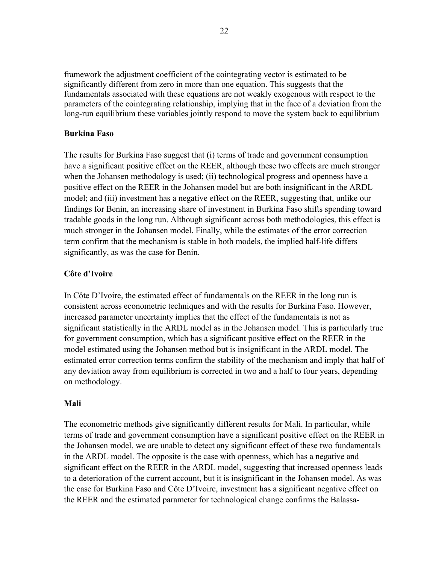framework the adjustment coefficient of the cointegrating vector is estimated to be significantly different from zero in more than one equation. This suggests that the fundamentals associated with these equations are not weakly exogenous with respect to the parameters of the cointegrating relationship, implying that in the face of a deviation from the long-run equilibrium these variables jointly respond to move the system back to equilibrium

## **Burkina Faso**

The results for Burkina Faso suggest that (i) terms of trade and government consumption have a significant positive effect on the REER, although these two effects are much stronger when the Johansen methodology is used; (ii) technological progress and openness have a positive effect on the REER in the Johansen model but are both insignificant in the ARDL model; and (iii) investment has a negative effect on the REER, suggesting that, unlike our findings for Benin, an increasing share of investment in Burkina Faso shifts spending toward tradable goods in the long run. Although significant across both methodologies, this effect is much stronger in the Johansen model. Finally, while the estimates of the error correction term confirm that the mechanism is stable in both models, the implied half-life differs significantly, as was the case for Benin.

## **Côte d'Ivoire**

In Côte D'Ivoire, the estimated effect of fundamentals on the REER in the long run is consistent across econometric techniques and with the results for Burkina Faso. However, increased parameter uncertainty implies that the effect of the fundamentals is not as significant statistically in the ARDL model as in the Johansen model. This is particularly true for government consumption, which has a significant positive effect on the REER in the model estimated using the Johansen method but is insignificant in the ARDL model. The estimated error correction terms confirm the stability of the mechanism and imply that half of any deviation away from equilibrium is corrected in two and a half to four years, depending on methodology.

## **Mali**

The econometric methods give significantly different results for Mali. In particular, while terms of trade and government consumption have a significant positive effect on the REER in the Johansen model, we are unable to detect any significant effect of these two fundamentals in the ARDL model. The opposite is the case with openness, which has a negative and significant effect on the REER in the ARDL model, suggesting that increased openness leads to a deterioration of the current account, but it is insignificant in the Johansen model. As was the case for Burkina Faso and Côte D'Ivoire, investment has a significant negative effect on the REER and the estimated parameter for technological change confirms the Balassa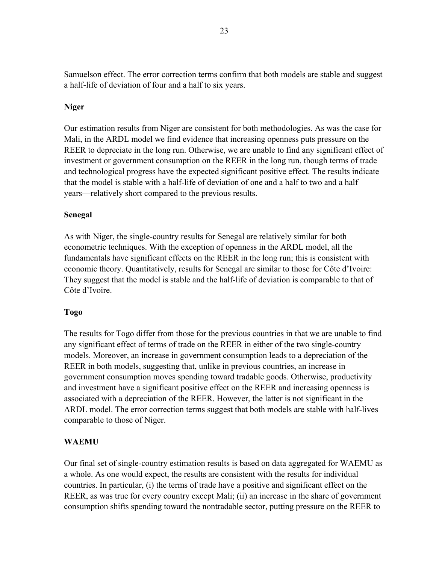Samuelson effect. The error correction terms confirm that both models are stable and suggest a half-life of deviation of four and a half to six years.

## **Niger**

Our estimation results from Niger are consistent for both methodologies. As was the case for Mali, in the ARDL model we find evidence that increasing openness puts pressure on the REER to depreciate in the long run. Otherwise, we are unable to find any significant effect of investment or government consumption on the REER in the long run, though terms of trade and technological progress have the expected significant positive effect. The results indicate that the model is stable with a half-life of deviation of one and a half to two and a half years—relatively short compared to the previous results.

## **Senegal**

As with Niger, the single-country results for Senegal are relatively similar for both econometric techniques. With the exception of openness in the ARDL model, all the fundamentals have significant effects on the REER in the long run; this is consistent with economic theory. Quantitatively, results for Senegal are similar to those for Côte d'Ivoire: They suggest that the model is stable and the half-life of deviation is comparable to that of Côte d'Ivoire.

## **Togo**

The results for Togo differ from those for the previous countries in that we are unable to find any significant effect of terms of trade on the REER in either of the two single-country models. Moreover, an increase in government consumption leads to a depreciation of the REER in both models, suggesting that, unlike in previous countries, an increase in government consumption moves spending toward tradable goods. Otherwise, productivity and investment have a significant positive effect on the REER and increasing openness is associated with a depreciation of the REER. However, the latter is not significant in the ARDL model. The error correction terms suggest that both models are stable with half-lives comparable to those of Niger.

## **WAEMU**

Our final set of single-country estimation results is based on data aggregated for WAEMU as a whole. As one would expect, the results are consistent with the results for individual countries. In particular, (i) the terms of trade have a positive and significant effect on the REER, as was true for every country except Mali; (ii) an increase in the share of government consumption shifts spending toward the nontradable sector, putting pressure on the REER to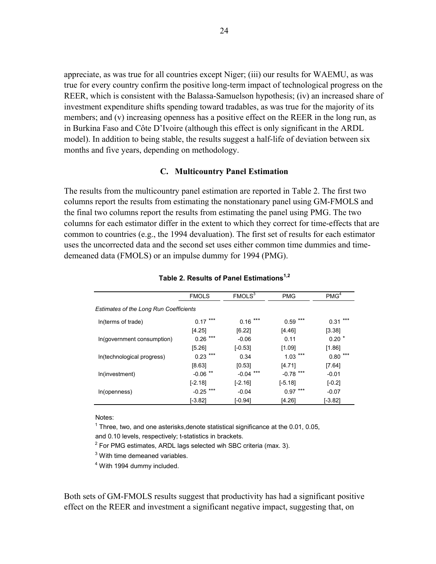appreciate, as was true for all countries except Niger; (iii) our results for WAEMU, as was true for every country confirm the positive long-term impact of technological progress on the REER, which is consistent with the Balassa-Samuelson hypothesis; (iv) an increased share of investment expenditure shifts spending toward tradables, as was true for the majority of its members; and (v) increasing openness has a positive effect on the REER in the long run, as in Burkina Faso and Côte D'Ivoire (although this effect is only significant in the ARDL model). In addition to being stable, the results suggest a half-life of deviation between six months and five years, depending on methodology.

#### **C. Multicountry Panel Estimation**

The results from the multicountry panel estimation are reported in Table 2. The first two columns report the results from estimating the nonstationary panel using GM-FMOLS and the final two columns report the results from estimating the panel using PMG. The two columns for each estimator differ in the extent to which they correct for time-effects that are common to countries (e.g., the 1994 devaluation). The first set of results for each estimator uses the uncorrected data and the second set uses either common time dummies and timedemeaned data (FMOLS) or an impulse dummy for 1994 (PMG).

|                                               | <b>FMOLS</b>     | FMOLS <sup>3</sup> | <b>PMG</b>  | PMG <sup>4</sup> |
|-----------------------------------------------|------------------|--------------------|-------------|------------------|
| <b>Estimates of the Long Run Coefficients</b> |                  |                    |             |                  |
| In(terms of trade)                            | $0.17***$        | $0.16***$          | ***<br>0.59 | $0.31***$        |
|                                               | [4.25]           | [6.22]             | [4.46]      | [3.38]           |
| In(government consumption)                    | $0.26$ ***       | $-0.06$            | 0.11        | $0.20*$          |
|                                               | [5.26]           | $[-0.53]$          | [1.09]      | [1.86]           |
| In(technological progress)                    | $0.23$ ***       | 0.34               | $1.03***$   | ***<br>0.80      |
|                                               | [8.63]           | [0.53]             | [4.71]      | $[7.64]$         |
| In(investment)                                | $***$<br>$-0.06$ | ***<br>$-0.04$     | $-0.78$ *** | $-0.01$          |
|                                               | $[-2.18]$        | $[-2.16]$          | $[-5.18]$   | $[-0.2]$         |
| In(openness)                                  | $-0.25$ ***      | $-0.04$            | $0.97***$   | $-0.07$          |
|                                               | [-3.82]          | [-0.94]            | [4.26]      | $[-3.82]$        |

## **Table 2. Results of Panel Estimations1,2**

Notes:

 $1$  Three, two, and one asterisks, denote statistical significance at the 0.01, 0.05,

and 0.10 levels, respectively; t-statistics in brackets.

 $2$  For PMG estimates, ARDL lags selected wih SBC criteria (max. 3).

 $3$  With time demeaned variables.

<sup>4</sup> With 1994 dummy included.

Both sets of GM-FMOLS results suggest that productivity has had a significant positive effect on the REER and investment a significant negative impact, suggesting that, on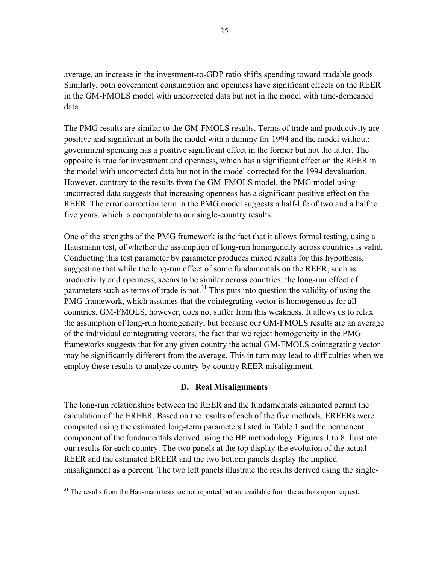average*,* an increase in the investment-to-GDP ratio shifts spending toward tradable goods. Similarly, both government consumption and openness have significant effects on the REER in the GM-FMOLS model with uncorrected data but not in the model with time-demeaned data.

The PMG results are similar to the GM-FMOLS results. Terms of trade and productivity are positive and significant in both the model with a dummy for 1994 and the model without; government spending has a positive significant effect in the former but not the latter. The opposite is true for investment and openness, which has a significant effect on the REER in the model with uncorrected data but not in the model corrected for the 1994 devaluation. However, contrary to the results from the GM-FMOLS model, the PMG model using uncorrected data suggests that increasing openness has a significant positive effect on the REER. The error correction term in the PMG model suggests a half-life of two and a half to five years, which is comparable to our single-country results.

One of the strengths of the PMG framework is the fact that it allows formal testing, using a Hausmann test, of whether the assumption of long-run homogeneity across countries is valid. Conducting this test parameter by parameter produces mixed results for this hypothesis, suggesting that while the long-run effect of some fundamentals on the REER, such as productivity and openness, seems to be similar across countries, the long-run effect of parameters such as terms of trade is not.<sup>31</sup> This puts into question the validity of using the PMG framework, which assumes that the cointegrating vector is homogeneous for all countries. GM-FMOLS, however, does not suffer from this weakness. It allows us to relax the assumption of long-run homogeneity, but because our GM-FMOLS results are an average of the individual cointegrating vectors, the fact that we reject homogeneity in the PMG frameworks suggests that for any given country the actual GM-FMOLS cointegrating vector may be significantly different from the average. This in turn may lead to difficulties when we employ these results to analyze country-by-country REER misalignment.

## **D. Real Misalignments**

The long-run relationships between the REER and the fundamentals estimated permit the calculation of the EREER. Based on the results of each of the five methods, EREERs were computed using the estimated long-term parameters listed in Table 1 and the permanent component of the fundamentals derived using the HP methodology. Figures 1 to 8 illustrate our results for each country. The two panels at the top display the evolution of the actual REER and the estimated EREER and the two bottom panels display the implied misalignment as a percent. The two left panels illustrate the results derived using the single-

 $\overline{a}$ 

<sup>&</sup>lt;sup>31</sup> The results from the Hausmann tests are not reported but are available from the authors upon request.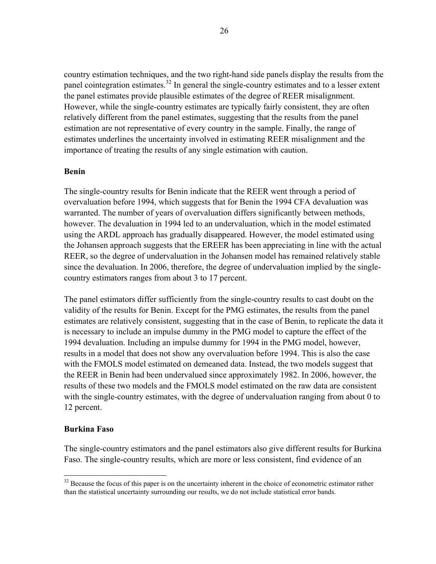country estimation techniques, and the two right-hand side panels display the results from the panel cointegration estimates.<sup>32</sup> In general the single-country estimates and to a lesser extent the panel estimates provide plausible estimates of the degree of REER misalignment. However, while the single-country estimates are typically fairly consistent, they are often relatively different from the panel estimates, suggesting that the results from the panel estimation are not representative of every country in the sample. Finally, the range of estimates underlines the uncertainty involved in estimating REER misalignment and the importance of treating the results of any single estimation with caution.

## **Benin**

The single-country results for Benin indicate that the REER went through a period of overvaluation before 1994, which suggests that for Benin the 1994 CFA devaluation was warranted. The number of years of overvaluation differs significantly between methods, however. The devaluation in 1994 led to an undervaluation, which in the model estimated using the ARDL approach has gradually disappeared. However, the model estimated using the Johansen approach suggests that the EREER has been appreciating in line with the actual REER, so the degree of undervaluation in the Johansen model has remained relatively stable since the devaluation. In 2006, therefore, the degree of undervaluation implied by the singlecountry estimators ranges from about 3 to 17 percent.

The panel estimators differ sufficiently from the single-country results to cast doubt on the validity of the results for Benin. Except for the PMG estimates, the results from the panel estimates are relatively consistent, suggesting that in the case of Benin, to replicate the data it is necessary to include an impulse dummy in the PMG model to capture the effect of the 1994 devaluation. Including an impulse dummy for 1994 in the PMG model, however, results in a model that does not show any overvaluation before 1994. This is also the case with the FMOLS model estimated on demeaned data. Instead, the two models suggest that the REER in Benin had been undervalued since approximately 1982. In 2006, however, the results of these two models and the FMOLS model estimated on the raw data are consistent with the single-country estimates, with the degree of undervaluation ranging from about 0 to 12 percent.

## **Burkina Faso**

 $\overline{a}$ 

The single-country estimators and the panel estimators also give different results for Burkina Faso. The single-country results, which are more or less consistent, find evidence of an

 $32$  Because the focus of this paper is on the uncertainty inherent in the choice of econometric estimator rather than the statistical uncertainty surrounding our results, we do not include statistical error bands.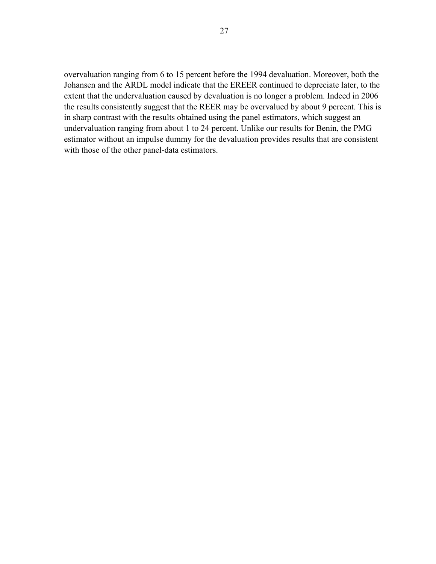overvaluation ranging from 6 to 15 percent before the 1994 devaluation. Moreover, both the Johansen and the ARDL model indicate that the EREER continued to depreciate later, to the extent that the undervaluation caused by devaluation is no longer a problem. Indeed in 2006 the results consistently suggest that the REER may be overvalued by about 9 percent. This is in sharp contrast with the results obtained using the panel estimators, which suggest an undervaluation ranging from about 1 to 24 percent. Unlike our results for Benin, the PMG estimator without an impulse dummy for the devaluation provides results that are consistent with those of the other panel-data estimators.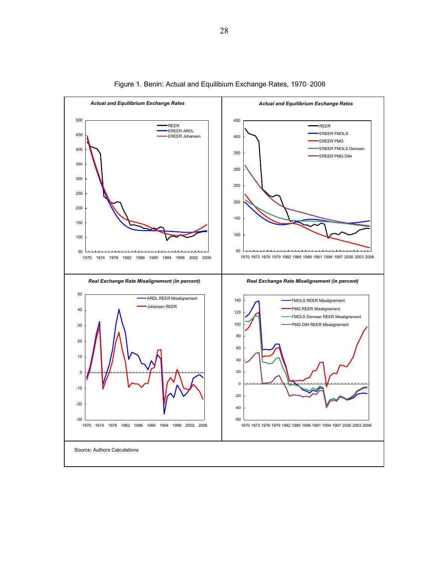

Figure 1. Benin: Actual and Equilibium Exchange Rates, 1970–2006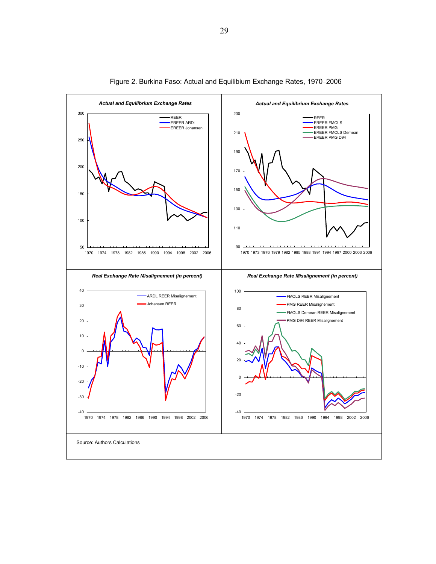

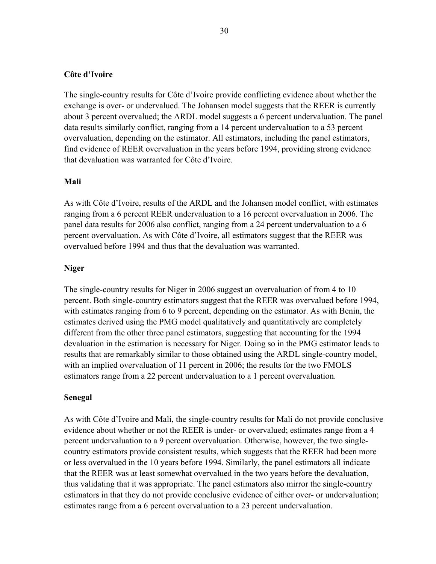## **Côte d'Ivoire**

The single-country results for Côte d'Ivoire provide conflicting evidence about whether the exchange is over- or undervalued. The Johansen model suggests that the REER is currently about 3 percent overvalued; the ARDL model suggests a 6 percent undervaluation. The panel data results similarly conflict, ranging from a 14 percent undervaluation to a 53 percent overvaluation, depending on the estimator. All estimators, including the panel estimators, find evidence of REER overvaluation in the years before 1994, providing strong evidence that devaluation was warranted for Côte d'Ivoire.

#### **Mali**

As with Côte d'Ivoire, results of the ARDL and the Johansen model conflict, with estimates ranging from a 6 percent REER undervaluation to a 16 percent overvaluation in 2006. The panel data results for 2006 also conflict, ranging from a 24 percent undervaluation to a 6 percent overvaluation. As with Côte d'Ivoire, all estimators suggest that the REER was overvalued before 1994 and thus that the devaluation was warranted.

## **Niger**

The single-country results for Niger in 2006 suggest an overvaluation of from 4 to 10 percent. Both single-country estimators suggest that the REER was overvalued before 1994, with estimates ranging from 6 to 9 percent, depending on the estimator. As with Benin, the estimates derived using the PMG model qualitatively and quantitatively are completely different from the other three panel estimators, suggesting that accounting for the 1994 devaluation in the estimation is necessary for Niger. Doing so in the PMG estimator leads to results that are remarkably similar to those obtained using the ARDL single-country model, with an implied overvaluation of 11 percent in 2006; the results for the two FMOLS estimators range from a 22 percent undervaluation to a 1 percent overvaluation.

#### **Senegal**

As with Côte d'Ivoire and Mali, the single-country results for Mali do not provide conclusive evidence about whether or not the REER is under- or overvalued; estimates range from a 4 percent undervaluation to a 9 percent overvaluation. Otherwise, however, the two singlecountry estimators provide consistent results, which suggests that the REER had been more or less overvalued in the 10 years before 1994. Similarly, the panel estimators all indicate that the REER was at least somewhat overvalued in the two years before the devaluation, thus validating that it was appropriate. The panel estimators also mirror the single-country estimators in that they do not provide conclusive evidence of either over- or undervaluation; estimates range from a 6 percent overvaluation to a 23 percent undervaluation.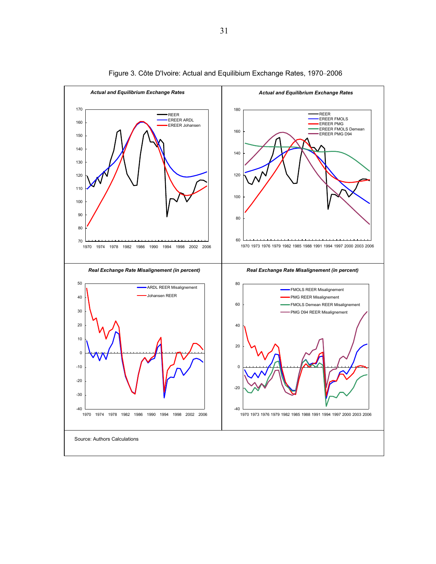

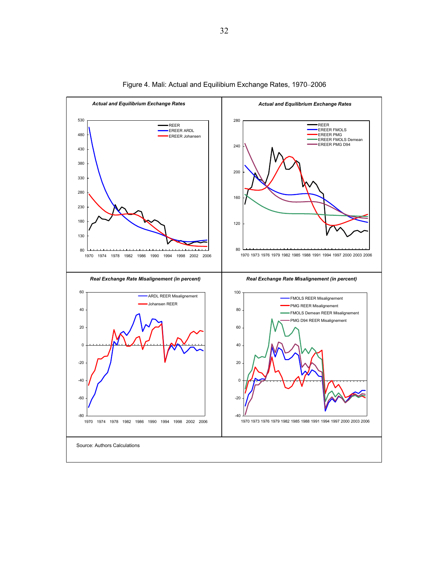

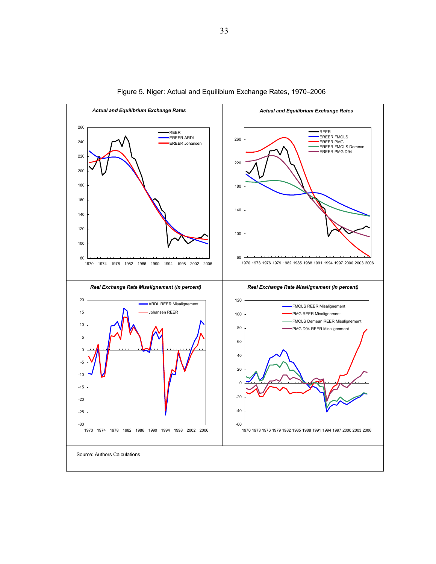

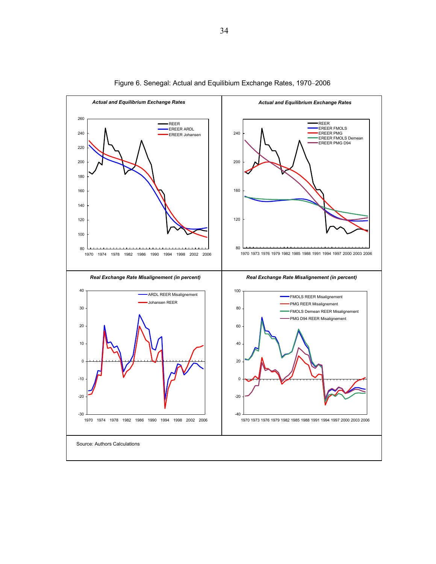

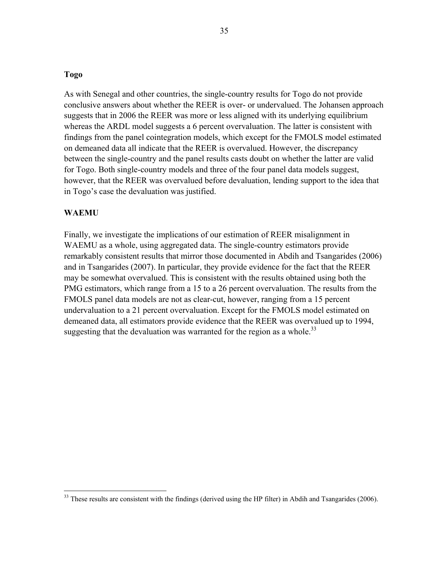## **Togo**

As with Senegal and other countries, the single-country results for Togo do not provide conclusive answers about whether the REER is over- or undervalued. The Johansen approach suggests that in 2006 the REER was more or less aligned with its underlying equilibrium whereas the ARDL model suggests a 6 percent overvaluation. The latter is consistent with findings from the panel cointegration models, which except for the FMOLS model estimated on demeaned data all indicate that the REER is overvalued. However, the discrepancy between the single-country and the panel results casts doubt on whether the latter are valid for Togo. Both single-country models and three of the four panel data models suggest, however, that the REER was overvalued before devaluation, lending support to the idea that in Togo's case the devaluation was justified.

#### **WAEMU**

 $\overline{a}$ 

Finally, we investigate the implications of our estimation of REER misalignment in WAEMU as a whole, using aggregated data. The single-country estimators provide remarkably consistent results that mirror those documented in Abdih and Tsangarides (2006) and in Tsangarides (2007). In particular, they provide evidence for the fact that the REER may be somewhat overvalued. This is consistent with the results obtained using both the PMG estimators, which range from a 15 to a 26 percent overvaluation. The results from the FMOLS panel data models are not as clear-cut, however, ranging from a 15 percent undervaluation to a 21 percent overvaluation. Except for the FMOLS model estimated on demeaned data, all estimators provide evidence that the REER was overvalued up to 1994, suggesting that the devaluation was warranted for the region as a whole.<sup>33</sup>

 $33$  These results are consistent with the findings (derived using the HP filter) in Abdih and Tsangarides (2006).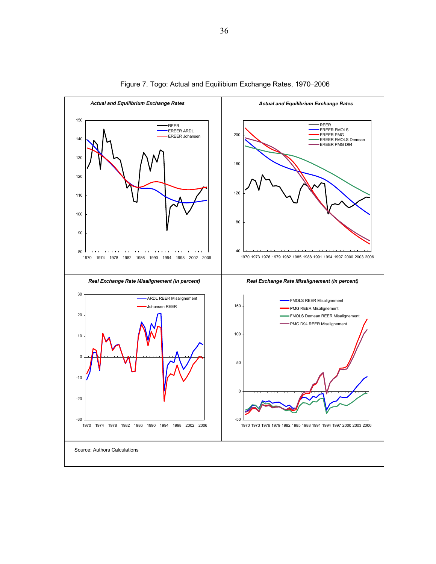

Figure 7. Togo: Actual and Equilibium Exchange Rates, 1970–2006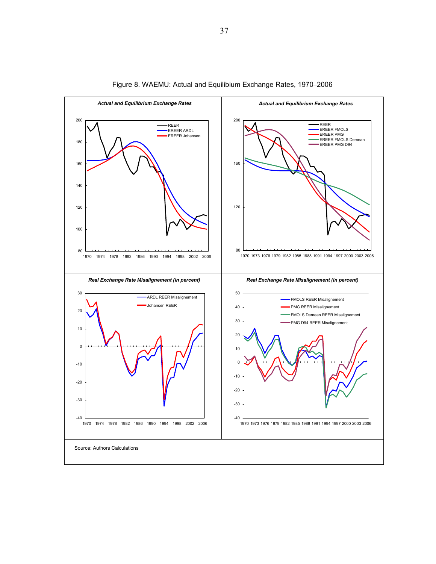

Figure 8. WAEMU: Actual and Equilibium Exchange Rates, 1970–2006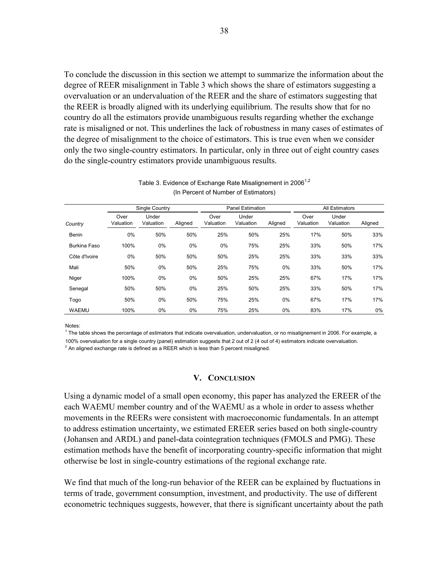To conclude the discussion in this section we attempt to summarize the information about the degree of REER misalignment in Table 3 which shows the share of estimators suggesting a overvaluation or an undervaluation of the REER and the share of estimators suggesting that the REER is broadly aligned with its underlying equilibrium. The results show that for no country do all the estimators provide unambiguous results regarding whether the exchange rate is misaligned or not. This underlines the lack of robustness in many cases of estimates of the degree of misalignment to the choice of estimators. This is true even when we consider only the two single-country estimators. In particular, only in three out of eight country cases do the single-country estimators provide unambiguous results.

|               |                   | Single Country     |         |                   | <b>Panel Estimation</b> |         |                   | All Estimators     |         |
|---------------|-------------------|--------------------|---------|-------------------|-------------------------|---------|-------------------|--------------------|---------|
| Country       | Over<br>Valuation | Under<br>Valuation | Aligned | Over<br>Valuation | Under<br>Valuation      | Aligned | Over<br>Valuation | Under<br>Valuation | Aligned |
| Benin         | 0%                | 50%                | 50%     | 25%               | 50%                     | 25%     | 17%               | 50%                | 33%     |
| Burkina Faso  | 100%              | 0%                 | 0%      | $0\%$             | 75%                     | 25%     | 33%               | 50%                | 17%     |
| Côte d'Ivoire | $0\%$             | 50%                | 50%     | 50%               | 25%                     | 25%     | 33%               | 33%                | 33%     |
| Mali          | 50%               | 0%                 | 50%     | 25%               | 75%                     | 0%      | 33%               | 50%                | 17%     |
| Niger         | 100%              | 0%                 | 0%      | 50%               | 25%                     | 25%     | 67%               | 17%                | 17%     |
| Senegal       | 50%               | 50%                | 0%      | 25%               | 50%                     | 25%     | 33%               | 50%                | 17%     |
| Togo          | 50%               | 0%                 | 50%     | 75%               | 25%                     | 0%      | 67%               | 17%                | 17%     |
| <b>WAEMU</b>  | 100%              | 0%                 | 0%      | 75%               | 25%                     | 0%      | 83%               | 17%                | $0\%$   |

#### Table 3. Evidence of Exchange Rate Misalignement in 2006<sup>1,2</sup> (In Percent of Number of Estimators)

Notes:

 $1$  The table shows the percentage of estimators that indicate overvaluation, undervaluation, or no misalignement in 2006. For example, a

100% overvaluation for a single country (panel) estimation suggests that 2 out of 2 (4 out of 4) estimators indicate overvaluation.

 $2$  An aligned exchange rate is defined as a REER which is less than 5 percent misaligned.

## **V. CONCLUSION**

Using a dynamic model of a small open economy, this paper has analyzed the EREER of the each WAEMU member country and of the WAEMU as a whole in order to assess whether movements in the REERs were consistent with macroeconomic fundamentals. In an attempt to address estimation uncertainty, we estimated EREER series based on both single-country (Johansen and ARDL) and panel-data cointegration techniques (FMOLS and PMG). These estimation methods have the benefit of incorporating country-specific information that might otherwise be lost in single-country estimations of the regional exchange rate.

We find that much of the long-run behavior of the REER can be explained by fluctuations in terms of trade, government consumption, investment, and productivity. The use of different econometric techniques suggests, however, that there is significant uncertainty about the path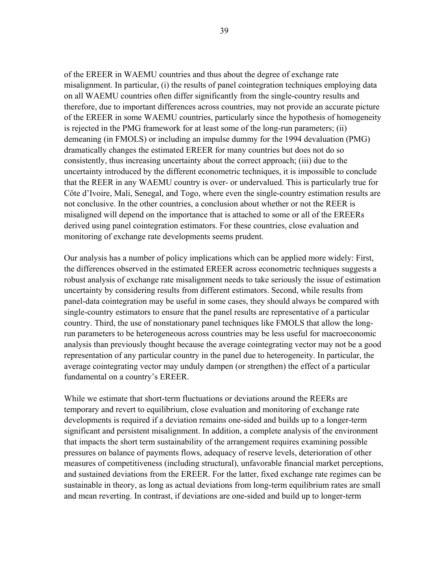of the EREER in WAEMU countries and thus about the degree of exchange rate misalignment. In particular, (i) the results of panel cointegration techniques employing data on all WAEMU countries often differ significantly from the single-country results and therefore, due to important differences across countries, may not provide an accurate picture of the EREER in some WAEMU countries, particularly since the hypothesis of homogeneity is rejected in the PMG framework for at least some of the long-run parameters; (ii) demeaning (in FMOLS) or including an impulse dummy for the 1994 devaluation (PMG) dramatically changes the estimated EREER for many countries but does not do so consistently, thus increasing uncertainty about the correct approach; (iii) due to the uncertainty introduced by the different econometric techniques, it is impossible to conclude that the REER in any WAEMU country is over- or undervalued. This is particularly true for Côte d'Ivoire, Mali, Senegal, and Togo, where even the single-country estimation results are not conclusive. In the other countries, a conclusion about whether or not the REER is misaligned will depend on the importance that is attached to some or all of the EREERs derived using panel cointegration estimators. For these countries, close evaluation and monitoring of exchange rate developments seems prudent.

Our analysis has a number of policy implications which can be applied more widely: First, the differences observed in the estimated EREER across econometric techniques suggests a robust analysis of exchange rate misalignment needs to take seriously the issue of estimation uncertainty by considering results from different estimators. Second, while results from panel-data cointegration may be useful in some cases, they should always be compared with single-country estimators to ensure that the panel results are representative of a particular country. Third, the use of nonstationary panel techniques like FMOLS that allow the longrun parameters to be heterogeneous across countries may be less useful for macroeconomic analysis than previously thought because the average cointegrating vector may not be a good representation of any particular country in the panel due to heterogeneity. In particular, the average cointegrating vector may unduly dampen (or strengthen) the effect of a particular fundamental on a country's EREER.

While we estimate that short-term fluctuations or deviations around the REERs are temporary and revert to equilibrium, close evaluation and monitoring of exchange rate developments is required if a deviation remains one-sided and builds up to a longer-term significant and persistent misalignment. In addition, a complete analysis of the environment that impacts the short term sustainability of the arrangement requires examining possible pressures on balance of payments flows, adequacy of reserve levels, deterioration of other measures of competitiveness (including structural), unfavorable financial market perceptions, and sustained deviations from the EREER. For the latter, fixed exchange rate regimes can be sustainable in theory, as long as actual deviations from long-term equilibrium rates are small and mean reverting. In contrast, if deviations are one-sided and build up to longer-term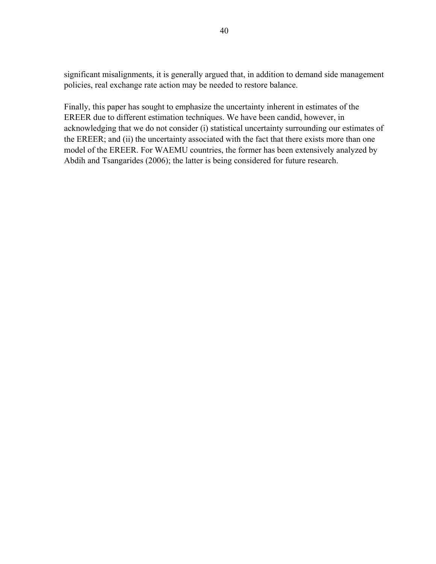significant misalignments, it is generally argued that, in addition to demand side management policies, real exchange rate action may be needed to restore balance.

Finally, this paper has sought to emphasize the uncertainty inherent in estimates of the EREER due to different estimation techniques. We have been candid, however, in acknowledging that we do not consider (i) statistical uncertainty surrounding our estimates of the EREER; and (ii) the uncertainty associated with the fact that there exists more than one model of the EREER. For WAEMU countries, the former has been extensively analyzed by Abdih and Tsangarides (2006); the latter is being considered for future research.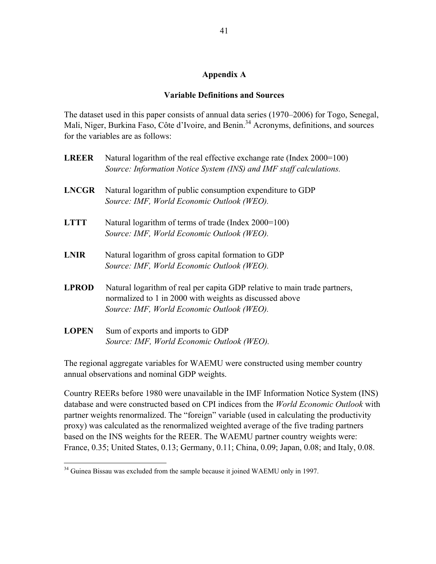## **Appendix A**

## **Variable Definitions and Sources**

The dataset used in this paper consists of annual data series (1970–2006) for Togo, Senegal, Mali, Niger, Burkina Faso, Côte d'Ivoire, and Benin.<sup>34</sup> Acronyms, definitions, and sources for the variables are as follows:

| <b>LREER</b> | Natural logarithm of the real effective exchange rate (Index 2000=100)<br>Source: Information Notice System (INS) and IMF staff calculations.                                      |
|--------------|------------------------------------------------------------------------------------------------------------------------------------------------------------------------------------|
| <b>LNCGR</b> | Natural logarithm of public consumption expenditure to GDP<br>Source: IMF, World Economic Outlook (WEO).                                                                           |
| <b>LTTT</b>  | Natural logarithm of terms of trade (Index 2000=100)<br>Source: IMF, World Economic Outlook (WEO).                                                                                 |
| <b>LNIR</b>  | Natural logarithm of gross capital formation to GDP<br>Source: IMF, World Economic Outlook (WEO).                                                                                  |
| <b>LPROD</b> | Natural logarithm of real per capita GDP relative to main trade partners,<br>normalized to 1 in 2000 with weights as discussed above<br>Source: IMF, World Economic Outlook (WEO). |
| <b>LOPEN</b> | Sum of exports and imports to GDP<br>Source: IMF, World Economic Outlook (WEO).                                                                                                    |

The regional aggregate variables for WAEMU were constructed using member country annual observations and nominal GDP weights.

Country REERs before 1980 were unavailable in the IMF Information Notice System (INS) database and were constructed based on CPI indices from the *World Economic Outlook* with partner weights renormalized. The "foreign" variable (used in calculating the productivity proxy) was calculated as the renormalized weighted average of the five trading partners based on the INS weights for the REER. The WAEMU partner country weights were: France, 0.35; United States, 0.13; Germany, 0.11; China, 0.09; Japan, 0.08; and Italy, 0.08.

 $\overline{a}$ 

 $34$  Guinea Bissau was excluded from the sample because it joined WAEMU only in 1997.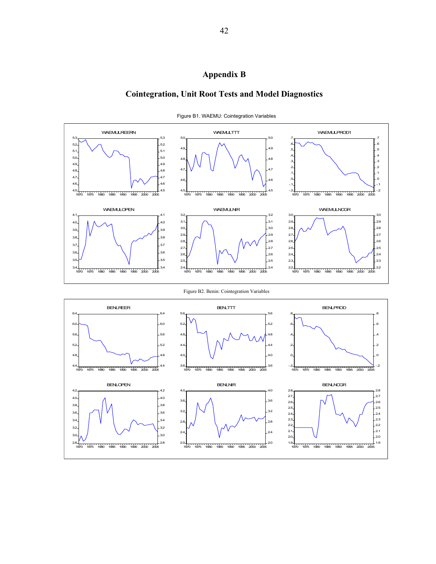## **Appendix B**

## **Cointegration, Unit Root Tests and Model Diagnostics**



Figure B1. WAEMU: Cointegration Variables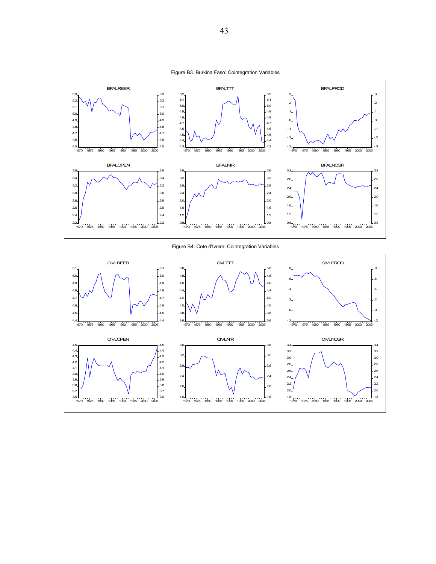



Figure B4. Cote d'Ivoire: Cointegration Variables

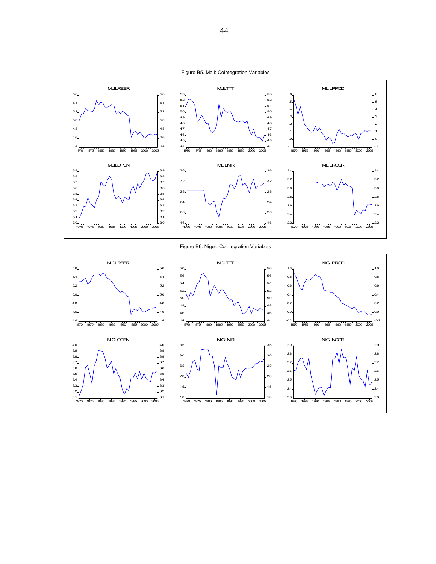



Figure B6. Niger: Cointegration Variables

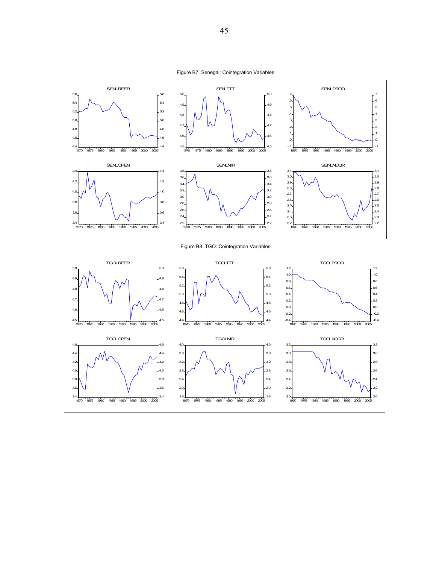



Figure B8. TGO: Cointegration Variables

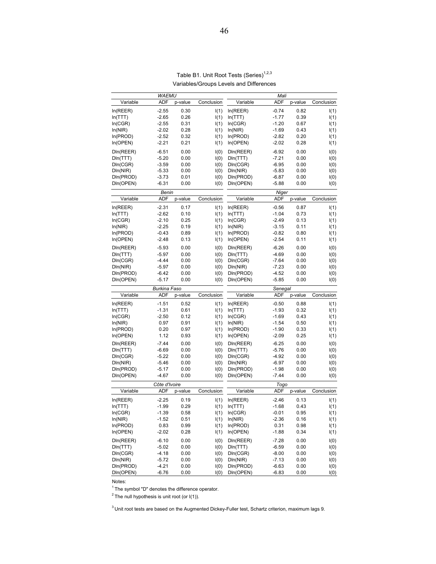|                        | <b>WAEMU</b>       |              |              |                        | Mali               |              |              |
|------------------------|--------------------|--------------|--------------|------------------------|--------------------|--------------|--------------|
| Variable               | <b>ADF</b>         | p-value      | Conclusion   | Variable               | <b>ADF</b>         | p-value      | Conclusion   |
| In(REER)               | $-2.55$            | 0.30         | I(1)         | In(REER)               | $-0.74$            | 0.82         | I(1)         |
| In(TTT)                | $-2.65$            | 0.26         | I(1)         | In(TTT)                | $-1.77$            | 0.39         | I(1)         |
| In(CGR)                | $-2.55$            | 0.31         | I(1)         | In(CGR)                | $-1.20$            | 0.67         | I(1)         |
| ln(NIR)                | $-2.02$            | 0.28         | I(1)         | ln(NIR)                | $-1.69$            | 0.43         | I(1)         |
| In(PROD)               | $-2.52$            | 0.32         | I(1)         | In(PROD)               | $-2.82$            | 0.20         | I(1)         |
| In(OPEN)               | $-2.21$            | 0.21         | I(1)         | In(OPEN)               | $-2.02$            | 0.28         | I(1)         |
|                        |                    |              |              |                        |                    |              |              |
| DIn(REER)              | $-6.51$            | 0.00         | I(0)         | DIn(REER)              | $-6.92$            | 0.00         | I(0)         |
| DIn(TTT)               | $-5.20$            | 0.00         | I(0)         | DIn(TTT)               | $-7.21$            | 0.00         | I(0)         |
| DIn(CGR)               | $-3.59$            | 0.00         | I(0)         | DIn(CGR)               | $-6.95$            | 0.00         | I(0)         |
| DIn(NIR)               | $-5.33$            | 0.00         | I(0)         | DIn(NIR)               | $-5.83$            | 0.00         | I(0)         |
| DIn(PROD)              | $-3.73$            | 0.01         | I(0)         | DIn(PROD)              | $-6.87$            | 0.00         | I(0)         |
| DIn(OPEN)              | $-6.31$            | 0.00         | I(0)         | DIn(OPEN)              | $-5.88$            | 0.00         | I(0)         |
|                        | Benin              |              |              |                        | Niger              |              |              |
| Variable               | ADF                | p-value      | Conclusion   | Variable               | <b>ADF</b>         | p-value      | Conclusion   |
| In(REER)               | $-2.31$            | 0.17         | I(1)         | In(REER)               | $-0.56$            | 0.87         | I(1)         |
| In(TTT)                | $-2.62$            | 0.10         | I(1)         | In(TTT)                | $-1.04$            | 0.73         | I(1)         |
| In(CGR)                | $-2.10$            | 0.25         | I(1)         | In(CGR)                | $-2.49$            | 0.13         | I(1)         |
| ln(NIR)                | $-2.25$            | 0.19         | I(1)         | In(NIR)                | $-3.15$            | 0.11         | I(1)         |
| In(PROD)               | $-0.43$            | 0.89         | I(1)         | In(PROD)               | $-0.82$            | 0.80         | I(1)         |
|                        | $-2.48$            | 0.13         |              |                        | $-2.54$            | 0.11         |              |
| In(OPEN)               |                    |              | I(1)         | In(OPEN)               |                    |              | I(1)         |
| DIn(REER)              | $-5.93$            | 0.00         | I(0)         | DIn(REER)              | $-6.26$            | 0.00         | I(0)         |
| DIn(TTT)               | $-5.97$            | 0.00         | I(0)         | DIn(TTT)               | $-4.69$            | 0.00         | I(0)         |
| DIn(CGR)               | $-4.44$            | 0.00         | I(0)         | DIn(CGR)               | $-7.64$            | 0.00         | I(0)         |
| DIn(NIR)               | $-5.97$            | 0.00         | I(0)         | DIn(NIR)               | $-7.23$            | 0.00         | I(0)         |
| DIn(PROD)              | $-6.42$            | 0.00         | I(0)         | DIn(PROD)              | $-4.52$            | 0.00         | I(0)         |
| DIn(OPEN)              | $-5.17$            | 0.00         | I(0)         | DIn(OPEN)              | $-5.85$            | 0.00         | I(0)         |
|                        |                    |              |              |                        |                    |              |              |
|                        | Burkina Faso       |              |              |                        | Senegal            |              |              |
| Variable               | <b>ADF</b>         | p-value      | Conclusion   | Variable               | <b>ADF</b>         | p-value      | Conclusion   |
|                        |                    |              |              |                        |                    |              |              |
| In(REER)               | $-1.51$            | 0.52         | I(1)         | In(REER)               | $-0.50$            | 0.88         | I(1)         |
| In(TTT)                | $-1.31$            | 0.61         | I(1)         | In(TTT)                | $-1.93$            | 0.32         | I(1)         |
| In(CGR)                | $-2.50$            | 0.12         | I(1)         | In(CGR)                | $-1.69$            | 0.43         | I(1)         |
| ln(NIR)                | 0.97               | 0.91         | I(1)         | In(NIR)                | $-1.54$            | 0.50         | I(1)         |
| In(PROD)               | 0.20               | 0.97         | I(1)         | In(PROD)               | $-1.90$            | 0.33         | I(1)         |
| In(OPEN)               | 1.12               | 0.93         | I(1)         | In(OPEN)               | $-2.09$            | 0.25         | I(1)         |
| DIn(REER)              | $-7.44$            | 0.00         | I(0)         | DIn(REER)              | $-6.25$            | 0.00         | I(0)         |
| DIn(TTT)               | $-6.69$            | 0.00         | I(0)         | DIn(TTT)               | $-5.76$            | 0.00         | I(0)         |
| DIn(CGR)               | $-5.22$            | 0.00         | I(0)         | DIn(CGR)               | $-4.92$            | 0.00         | I(0)         |
| DIn(NIR)               | $-5.46$            | 0.00         | I(0)         | DIn(NIR)               | $-6.97$            | 0.00         | I(0)         |
| DIn(PROD)              | $-5.17$            | 0.00         | I(0)         | DIn(PROD)              | $-1.98$            | 0.00         | I(0)         |
| DIn(OPEN)              | $-4.67$            | 0.00         | I(0)         | DIn(OPEN)              | $-7.44$            | 0.00         | I(0)         |
|                        | Côte d'Ivoire      |              |              |                        | Togo               |              |              |
| Variable               | <b>ADF</b>         | p-value      | Conclusion   | Variable               | <b>ADF</b>         | p-value      | Conclusion   |
|                        |                    |              |              |                        |                    |              |              |
| In(REER)               | $-2.25$            | 0.19         | I(1)         | In(REER)               | $-2.46$            | 0.13         | I(1)         |
| In(TTT)                | $-1.99$            | 0.29         | I(1)         | In(TTT)                | $-1.68$            | 0.43         | I(1)         |
| In(CGK)                | $-1.39$            | 0.58         | I(1)         | In(CGK)                | $-0.01$            | 0.95         | I(1)         |
| ln(NIR)                | $-1.52$            | 0.51         | I(1)         | In(NIR)                | $-2.36$            | 0.16         | I(1)         |
| In(PROD)               | 0.83               | 0.99         | I(1)         | In(PROD)               | 0.31               | 0.98         | I(1)         |
| In(OPEN)               | $-2.02$            | 0.28         | I(1)         | In(OPEN)               | $-1.88$            | 0.34         | I(1)         |
| DIn(REER)              | $-6.10$            | 0.00         | I(0)         | DIn(REER)              | $-7.28$            | 0.00         | I(0)         |
| DIn(TTT)               | $-5.02$            | 0.00         | I(0)         | DIn(TTT)               | $-6.59$            | 0.00         | I(0)         |
| DIn(CGR)               | $-4.18$            | 0.00         | I(0)         | DIn(CGR)               | $-8.00$            | 0.00         | I(0)         |
| DIn(NIR)               | $-5.72$            | 0.00         | I(0)         | DIn(NIR)               | $-7.13$            | 0.00         | I(0)         |
| DIn(PROD)<br>DIn(OPEN) | $-4.21$<br>$-6.76$ | 0.00<br>0.00 | I(0)<br>I(0) | DIn(PROD)<br>DIn(OPEN) | $-6.63$<br>$-6.83$ | 0.00<br>0.00 | I(0)<br>I(0) |

#### Table B1. Unit Root Tests (Series)<sup>1,2,3</sup> Variables/Groups Levels and Differences

Notes:

 $1$  The symbol "D" denotes the difference operator.

 $2$  The null hypothesis is unit root (or I(1)).

 $3$  Unit root tests are based on the Augmented Dickey-Fuller test, Schartz criterion, maximum lags 9.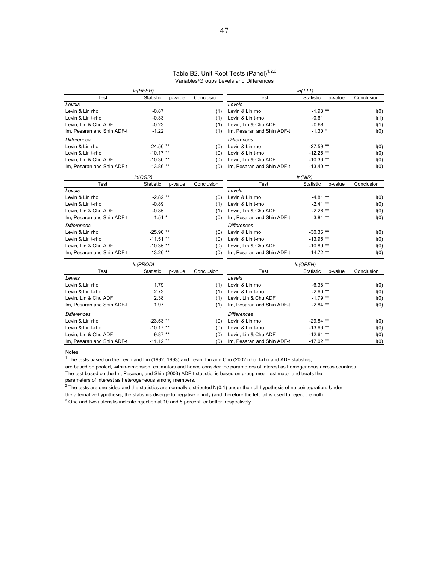#### Table B2. Unit Root Tests (Panel)<sup>1,2,3</sup> Variables/Groups Levels and Differences

|                            | In(REER)         |         |            |                            | ln(TTT)     |         |            |
|----------------------------|------------------|---------|------------|----------------------------|-------------|---------|------------|
| <b>Test</b>                | Statistic        | p-value | Conclusion | Test                       | Statistic   | p-value | Conclusion |
| Levels                     |                  |         |            | Levels                     |             |         |            |
| Levin & Lin rho            | $-0.87$          |         | I(1)       | Levin & Lin rho            | $-1.98$ **  |         | I(0)       |
| Levin & Lin t-rho          | $-0.33$          |         | I(1)       | Levin & Lin t-rho          | $-0.61$     |         | I(1)       |
| Levin, Lin & Chu ADF       | $-0.23$          |         | I(1)       | Levin, Lin & Chu ADF       | $-0.68$     |         | I(1)       |
| Im, Pesaran and Shin ADF-t | $-1.22$          |         | I(1)       | Im, Pesaran and Shin ADF-t | $-1.30$ *   |         | I(0)       |
| <b>Differences</b>         |                  |         |            | <b>Differences</b>         |             |         |            |
| Levin & Lin rho            | $-24.50**$       |         | I(0)       | Levin & Lin rho            | $-27.59$ ** |         | I(0)       |
| Levin & Lin t-rho          | $-10.17$ **      |         | I(0)       | Levin & Lin t-rho          | $-12.25$ ** |         | I(0)       |
| Levin. Lin & Chu ADF       | $-10.30**$       |         | I(0)       | Levin. Lin & Chu ADF       | $-10.36$ ** |         | I(0)       |
| Im, Pesaran and Shin ADF-t | $-13.86**$       |         | I(0)       | Im, Pesaran and Shin ADF-t | $-13.40**$  |         | I(0)       |
|                            | In(CGR)          |         |            |                            | ln(NIR)     |         |            |
| <b>Test</b>                | <b>Statistic</b> | p-value | Conclusion | Test                       | Statistic   | p-value | Conclusion |
| Levels                     |                  |         |            | Levels                     |             |         |            |
| Levin & Lin rho            | $-2.82**$        |         | I(0)       | Levin & Lin rho            | $-4.81**$   |         | I(0)       |
| Levin & Lin t-rho          | $-0.89$          |         | I(1)       | Levin & Lin t-rho          | $-2.41$ **  |         | I(0)       |
| Levin, Lin & Chu ADF       | $-0.85$          |         | I(1)       | Levin, Lin & Chu ADF       | $-2.26$ **  |         | I(0)       |
| Im, Pesaran and Shin ADF-t | $-1.51$ *        |         | I(0)       | Im, Pesaran and Shin ADF-t | $-3.84$ **  |         | I(0)       |
| <b>Differences</b>         |                  |         |            | <b>Differences</b>         |             |         |            |
| Levin & Lin rho            | $-25.90$ **      |         | I(0)       | Levin & Lin rho            | $-30.36$ ** |         | I(0)       |
| Levin & Lin t-rho          | $-11.51**$       |         | I(0)       | Levin & Lin t-rho          | $-13.95$ ** |         | I(0)       |
| Levin, Lin & Chu ADF       | $-10.35$ **      |         | I(0)       | Levin, Lin & Chu ADF       | $-10.89**$  |         | I(0)       |
| Im, Pesaran and Shin ADF-t | $-13.20$ **      |         | I(0)       | Im, Pesaran and Shin ADF-t | $-14.72$ ** |         | I(0)       |
|                            | In(PROD)         |         |            |                            | In(OPEN)    |         |            |
| <b>Test</b>                | <b>Statistic</b> | p-value | Conclusion | Test                       | Statistic   | p-value | Conclusion |
| Levels                     |                  |         |            | Levels                     |             |         |            |
| Levin & Lin rho            | 1.79             |         | I(1)       | Levin & Lin rho            | $-6.38$ **  |         | I(0)       |
| Levin & Lin t-rho          | 2.73             |         | I(1)       | Levin & Lin t-rho          | $-2.60**$   |         | I(0)       |
| Levin. Lin & Chu ADF       | 2.38             |         | I(1)       | Levin. Lin & Chu ADF       | $-1.79$ **  |         | I(0)       |
| Im, Pesaran and Shin ADF-t | 1.97             |         | I(1)       | Im, Pesaran and Shin ADF-t | $-2.84$ **  |         | I(0)       |
| <b>Differences</b>         |                  |         |            | <b>Differences</b>         |             |         |            |
| Levin & Lin rho            | $-23.53$ **      |         | I(0)       | Levin & Lin rho            | $-29.84$ ** |         | I(0)       |
| Levin & Lin t-rho          | $-10.17**$       |         | I(0)       | Levin & Lin t-rho          | $-13.66$ ** |         | I(0)       |
| Levin, Lin & Chu ADF       | $-9.87**$        |         | I(0)       | Levin, Lin & Chu ADF       | $-12.64$ ** |         | I(0)       |
| Im, Pesaran and Shin ADF-t | $-11.12**$       |         | I(0)       | Im, Pesaran and Shin ADF-t | $-17.02$ ** |         | I(0)       |

Notes:

<sup>1</sup> The tests based on the Levin and Lin (1992, 1993) and Levin, Lin and Chu (2002) rho, t-rho and ADF statistics,

are based on pooled, within-dimension, estimators and hence consider the parameters of interest as homogeneous across countries.

The test based on the Im, Pesaran, and Shin (2003) ADF-t statistic, is based on group mean estimator and treats the

parameters of interest as heterogeneous among members.<br><sup>2</sup> The tests are one sided and the statistics are normally distributed N(0,1) under the null hypothesis of no cointegration. Under the alternative hypothesis, the statistics diverge to negative infinity (and therefore the left tail is used to reject the null).

 $3$  One and two asterisks indicate rejection at 10 and 5 percent, or better, respectively.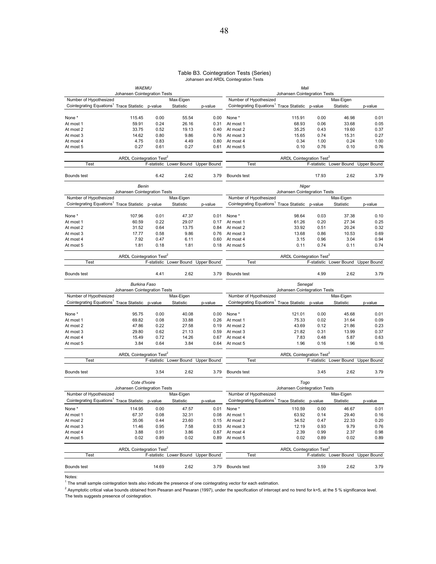#### Table B3. Cointegration Tests (Series) Johansen and ARDL Cointegration Tests

|                                                                                        | <b>WAEMU</b>                         |       |                         |                    |                                                                                        | Mali                                       |       |                         |                    |
|----------------------------------------------------------------------------------------|--------------------------------------|-------|-------------------------|--------------------|----------------------------------------------------------------------------------------|--------------------------------------------|-------|-------------------------|--------------------|
|                                                                                        | Johansen Cointegration Tests         |       |                         |                    |                                                                                        | Johansen Cointegration Tests               |       |                         |                    |
| Number of Hypothesized<br>Cointegrating Equations <sup>1</sup> Trace Statistic p-value |                                      |       | Max-Eigen<br>Statistic  |                    | Number of Hypothesized<br>Cointegrating Equations <sup>1</sup> Trace Statistic p-value |                                            |       | Max-Eigen               |                    |
|                                                                                        |                                      |       |                         | p-value            |                                                                                        |                                            |       | Statistic               | p-value            |
| None *                                                                                 | 115.45                               | 0.00  | 55.54                   | 0.00               | None *                                                                                 | 115.91                                     | 0.00  | 46.98                   | 0.01               |
| At most 1                                                                              | 59.91                                | 0.24  | 26.16                   | 0.31               | At most 1                                                                              | 68.93                                      | 0.06  | 33.68                   | 0.05               |
| At most 2                                                                              | 33.75                                | 0.52  | 19.13                   | 0.40               | At most 2                                                                              | 35.25                                      | 0.43  | 19.60                   | 0.37               |
| At most 3                                                                              | 14.62                                | 0.80  | 9.86                    | 0.76               | At most 3                                                                              | 15.65                                      | 0.74  | 15.31                   | 0.27               |
| At most 4                                                                              | 4.75                                 | 0.83  | 4.49                    | 0.80               | At most 4                                                                              | 0.34                                       | 1.00  | 0.24                    | 1.00               |
| At most 5                                                                              | 0.27                                 | 0.61  | 0.27                    | 0.61               | At most 5                                                                              | 0.10                                       | 0.76  | 0.10                    | 0.76               |
|                                                                                        | ARDL Cointegration Test <sup>2</sup> |       |                         |                    |                                                                                        | ARDL Cointegration Test <sup>2</sup>       |       |                         |                    |
| Test                                                                                   |                                      |       | F-statistic Lower Bound | <b>Upper Bound</b> | Test                                                                                   |                                            |       | F-statistic Lower Bound | <b>Upper Bound</b> |
| Bounds test                                                                            |                                      | 6.42  | 2.62                    | 3.79               | Bounds test                                                                            |                                            | 17.93 | 2.62                    | 3.79               |
|                                                                                        | Benin                                |       |                         |                    |                                                                                        | Niger                                      |       |                         |                    |
| Number of Hypothesized                                                                 | Johansen Cointegration Tests         |       | Max-Eigen               |                    | Number of Hypothesized                                                                 | Johansen Cointegration Tests               |       | Max-Eigen               |                    |
| Cointegrating Equations <sup>1</sup> Trace Statistic p-value                           |                                      |       | Statistic               | p-value            | Cointegrating Equations <sup>1</sup> Trace Statistic p-value                           |                                            |       | Statistic               | p-value            |
|                                                                                        |                                      |       |                         |                    |                                                                                        |                                            |       |                         |                    |
| None *                                                                                 | 107.96                               | 0.01  | 47.37                   | 0.01               | None *                                                                                 | 98.64                                      | 0.03  | 37.38                   | 0.10               |
| At most 1                                                                              | 60.59                                | 0.22  | 29.07                   | 0.17               | At most 1                                                                              | 61.26                                      | 0.20  | 27.34                   | 0.25               |
| At most 2                                                                              | 31.52                                | 0.64  | 13.75                   | 0.84               | At most 2                                                                              | 33.92                                      | 0.51  | 20.24                   | 0.32               |
| At most 3                                                                              | 17.77                                | 0.58  | 9.86                    | 0.76               | At most 3                                                                              | 13.68                                      | 0.86  | 10.53                   | 0.69               |
| At most 4                                                                              | 7.92                                 | 0.47  | 6.11                    | 0.60               | At most 4                                                                              | 3.15                                       | 0.96  | 3.04                    | 0.94               |
| At most 5                                                                              | 1.81                                 | 0.18  | 1.81                    | 0.18               | At most 5                                                                              | 0.11                                       | 0.74  | 0.11                    | 0.74               |
|                                                                                        | ARDL Cointegration Test <sup>2</sup> |       |                         |                    |                                                                                        | ARDL Cointegration Test <sup>2</sup>       |       |                         |                    |
| Test                                                                                   |                                      |       | F-statistic Lower Bound | <b>Upper Bound</b> | Test                                                                                   |                                            |       | F-statistic Lower Bound | <b>Upper Bound</b> |
| Bounds test                                                                            |                                      | 4.41  | 2.62                    | 3.79               | Bounds test                                                                            |                                            | 4.99  | 2.62                    | 3.79               |
|                                                                                        | <b>Burkina Faso</b>                  |       |                         |                    |                                                                                        | Senegal<br>Johansen Cointegration Tests    |       |                         |                    |
| Number of Hypothesized                                                                 | Johansen Cointegration Tests         |       | Max-Eigen               |                    | Number of Hypothesized                                                                 |                                            |       | Max-Eigen               |                    |
| Cointegrating Equations <sup>1</sup> Trace Statistic p-value                           |                                      |       | Statistic               |                    | Cointegrating Equations <sup>1</sup> Trace Statistic p-value                           |                                            |       | Statistic               |                    |
|                                                                                        |                                      |       |                         | p-value            |                                                                                        |                                            |       |                         | p-value            |
| None *                                                                                 | 95.75                                | 0.00  | 40.08                   | 0.00               | None *                                                                                 | 121.01                                     | 0.00  | 45.68                   | 0.01               |
| At most 1                                                                              | 69.82                                | 0.08  | 33.88                   | 0.26               | At most 1                                                                              | 75.33                                      | 0.02  | 31.64                   | 0.09               |
| At most 2                                                                              | 47.86                                | 0.22  | 27.58                   | 0.19               | At most 2                                                                              | 43.69                                      | 0.12  | 21.86                   | 0.23               |
| At most 3                                                                              | 29.80                                | 0.62  | 21.13                   | 0.59               | At most 3                                                                              | 21.82                                      | 0.31  | 13.99                   | 0.37               |
| At most 4                                                                              | 15.49                                | 0.72  | 14.26                   | 0.67               | At most 4                                                                              | 7.83                                       | 0.48  | 5.87                    | 0.63               |
| At most 5                                                                              | 3.84                                 | 0.64  | 3.84                    | 0.64               | At most 5                                                                              | 1.96                                       | 0.16  | 1.96                    | 0.16               |
|                                                                                        | ARDL Cointegration Test <sup>2</sup> |       |                         |                    |                                                                                        | <b>ARDL Cointegration Test<sup>2</sup></b> |       |                         |                    |
| Test                                                                                   |                                      |       | F-statistic Lower Bound | <b>Upper Bound</b> | Test                                                                                   |                                            |       | F-statistic Lower Bound | <b>Upper Bound</b> |
| Bounds test                                                                            |                                      | 3.54  | 2.62                    | 3.79               | Bounds test                                                                            |                                            | 3.45  | 2.62                    | 3.79               |
|                                                                                        | Cote d'Ivoire                        |       |                         |                    |                                                                                        | Togo                                       |       |                         |                    |
| Number of Hypothesized                                                                 | Johansen Cointegration Tests         |       | Max-Eigen               |                    | Number of Hypothesized                                                                 | Johansen Cointegration Tests               |       | Max-Eigen               |                    |
|                                                                                        |                                      |       |                         |                    |                                                                                        |                                            |       |                         |                    |
| Cointegrating Equations <sup>1</sup> Trace Statistic p-value                           |                                      |       | Statistic               | p-value            | Cointegrating Equations <sup>1</sup> Trace Statistic p-value                           |                                            |       | Statistic               | p-value            |
| None *                                                                                 | 114.95                               | 0.00  | 47.57                   | 0.01               | None *                                                                                 | 110.59                                     | 0.00  | 46.67                   | 0.01               |
| At most 1                                                                              | 67.37                                | 0.08  | 32.31                   | 0.08               | At most 1                                                                              | 63.92                                      | 0.14  | 29.40                   | 0.16               |
| At most 2                                                                              | 35.06                                | 0.44  | 23.60                   | 0.15               | At most 2                                                                              | 34.52                                      | 0.47  | 22.33                   | 0.20               |
| At most 3                                                                              | 11.46                                | 0.95  | 7.58                    | 0.93               | At most 3                                                                              | 12.19                                      | 0.93  | 9.79                    | 0.76               |
| At most 4                                                                              | 3.88                                 | 0.91  | 3.86                    | 0.87               | At most 4                                                                              | 2.39                                       | 0.99  | 2.37                    | 0.98               |
| At most 5                                                                              | 0.02                                 | 0.89  | 0.02                    | 0.89               | At most 5                                                                              | 0.02                                       | 0.89  | 0.02                    | 0.89               |
|                                                                                        |                                      |       |                         |                    |                                                                                        |                                            |       |                         |                    |
|                                                                                        | ARDL Cointegration Test <sup>2</sup> |       |                         |                    |                                                                                        | ARDL Cointegration Test <sup>2</sup>       |       |                         |                    |
| Test                                                                                   |                                      |       | F-statistic Lower Bound | <b>Upper Bound</b> | Test                                                                                   |                                            |       | F-statistic Lower Bound | <b>Upper Bound</b> |
| Bounds test                                                                            |                                      | 14.69 | 2.62                    |                    | 3.79 Bounds test                                                                       |                                            | 3.59  | 2.62                    | 3.79               |

Notes:

 $1$  The small sample cointegration tests also indicate the presence of one cointegrating vector for each estimation.

 $^2$  Asymptotic critical value bounds obtained from Pesaran and Pesaran (1997), under the specification of intercept and no trend for k=5, at the 5 % significance level. The tests suggests presence of cointegration.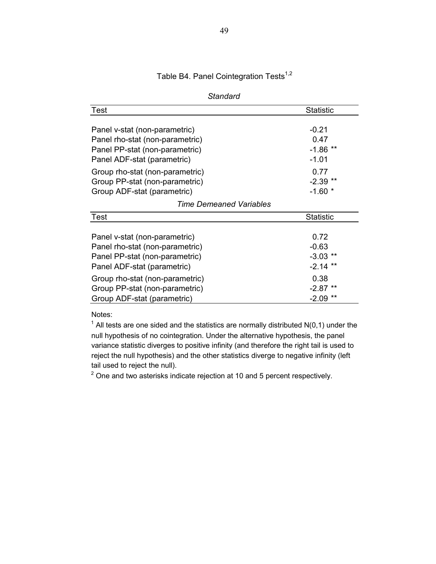Table B4. Panel Cointegration Tests $1,2$ 

| Standard                                                                                                                                                                                               |                                                                      |
|--------------------------------------------------------------------------------------------------------------------------------------------------------------------------------------------------------|----------------------------------------------------------------------|
| <b>Test</b>                                                                                                                                                                                            | <b>Statistic</b>                                                     |
| Panel v-stat (non-parametric)<br>Panel rho-stat (non-parametric)<br>Panel PP-stat (non-parametric)                                                                                                     | $-0.21$<br>0.47<br>$-1.86$ **                                        |
| Panel ADF-stat (parametric)<br>Group rho-stat (non-parametric)<br>Group PP-stat (non-parametric)<br>Group ADF-stat (parametric)<br>Time Demeaned Variables                                             | $-1.01$<br>0.77<br>$-2.39$ **<br>$-1.60$ *                           |
| <b>Test</b>                                                                                                                                                                                            | <b>Statistic</b>                                                     |
| Panel v-stat (non-parametric)<br>Panel rho-stat (non-parametric)<br>Panel PP-stat (non-parametric)<br>Panel ADF-stat (parametric)<br>Group rho-stat (non-parametric)<br>Group PP-stat (non-parametric) | 0.72<br>$-0.63$<br>$-3.03$<br>$-2.14$ **<br>0.38<br>$-2.87$<br>$***$ |
| Group ADF-stat (parametric)                                                                                                                                                                            | **<br>$-2.09$                                                        |

Notes:

 $1$  All tests are one sided and the statistics are normally distributed N(0,1) under the null hypothesis of no cointegration. Under the alternative hypothesis, the panel variance statistic diverges to positive infinity (and therefore the right tail is used to reject the null hypothesis) and the other statistics diverge to negative infinity (left tail used to reject the null).

 $2$  One and two asterisks indicate rejection at 10 and 5 percent respectively.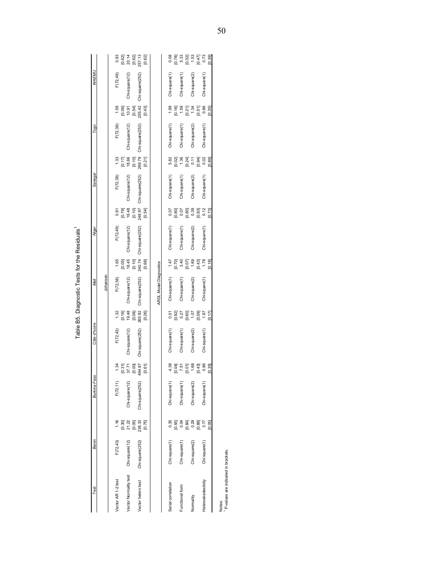| 194.87<br>1.34<br>[0.00]<br>$[0.31]$<br>37.71<br>[0.61]<br>F(72, 11)<br>Chi-square(12)<br>Chi-square(252)<br>0.30<br>21.22<br>236.33<br>236.33<br>1.16<br>[0.75]<br>F(72, 43)<br>Chi-square(12)<br>Chi-square(252)<br>Vector Normality test<br>Vector AR 1-2 test<br>Vector hetero test | F(72, 43)<br>Chi-square(12)<br>Chi-square(252) | 1.32                        | Johansen<br>F(72,38)          |                              |                 |                                      |                 |                                       |                 |                                  |                 |                                                |
|-----------------------------------------------------------------------------------------------------------------------------------------------------------------------------------------------------------------------------------------------------------------------------------------|------------------------------------------------|-----------------------------|-------------------------------|------------------------------|-----------------|--------------------------------------|-----------------|---------------------------------------|-----------------|----------------------------------|-----------------|------------------------------------------------|
|                                                                                                                                                                                                                                                                                         |                                                |                             |                               |                              |                 |                                      |                 |                                       |                 |                                  |                 |                                                |
|                                                                                                                                                                                                                                                                                         |                                                |                             |                               | 1.65                         | F(72, 49)       | 0.81                                 | F(72,38)        | 1,33                                  | F(72,38)        | 1.59                             | F(72,49)        | 0.93                                           |
|                                                                                                                                                                                                                                                                                         |                                                | $[0.16]$<br>19.48           | Chi-square(12)                | $[0.05]$<br>18.45            | Chi-square(12)  | [6.79]                               | Chi-square(12)  | $[0.17]$<br>18.66                     | Chi-square(12)  | [0.06]                           | Chi-square(12)  | $[0.62]$<br>20.14                              |
|                                                                                                                                                                                                                                                                                         |                                                | 265.82<br>[0.08]<br>[0.26]  | Chi-square(252)               | $[0.10]$<br>240.74<br>[0.68] | Chi-square(252) | 248.97<br>[0.10]<br>[0.54]           | Chi-square(252) | 269.79<br>[0.10]<br>[0.21]            | Chi-square(252) | 255.42<br>[0.54]<br>[0.43]       | Chi-square(252) | $[0.62]$<br>257.13<br>[0.62]                   |
|                                                                                                                                                                                                                                                                                         |                                                |                             | <b>ARDL Model Diagnostics</b> |                              |                 |                                      |                 |                                       |                 |                                  |                 |                                                |
| 4.38<br>Chi-square(1)<br>0.35<br>Chi-square(1)<br>Serial correlation                                                                                                                                                                                                                    | Chi-square(1)                                  | 0.01                        | Chi-square(1)                 | 1.47                         | Chi-square(1)   | 0.07                                 | Chi-square(1)   | 5.82                                  | Chi-square(1)   | 1.99                             | Chi-square(1)   | 0.08                                           |
| 0.51<br>7.51<br>0.43<br>0.43<br>Chi-square(1)<br>ត្តូង នួន<br>ខ្ញុំខ្ញុំខ្ញុំ<br>Chi-square(1)<br>Functional form                                                                                                                                                                       | Chi-square(1)                                  | 70.001<br>270.001<br>270.01 | Chi-square(1)                 | 1.78<br>3.40<br>1.69<br>1.78 | Chi-square(1)   | 0.80<br>0.00<br>0.80<br>0.83<br>0.12 | Chi-square(1)   | 02136<br>2021<br>2021<br>2021<br>2022 | Chi-square(1)   | គ្រូ<br>ក្នុង ភូមិ<br>ក្នុង ភូមិ | Chi-square(1)   | គ្រូ<br>ស្រុក អ្នក<br>ស្រុក អ្នក<br>ស្រុក អ្នក |
| Chi-square(2)<br>[0.89]<br>Chi-square(2)<br>Vormality                                                                                                                                                                                                                                   | Chi-square(2)                                  |                             | Chi-square(2)                 |                              | Chi-square(2)   |                                      | Chi-square(2)   |                                       | Chi-square(2)   |                                  | Chi-square(2)   |                                                |
| 0.86<br>[0.35]<br>Chi-square(1)<br>3.77<br>0.05<br>Chi-square(1)<br>Heteroskedasticity                                                                                                                                                                                                  | Chi-square(1)                                  | 1.87<br>1.87<br>17          | Chi-square(1)                 | [0.18]                       | Chi-square(1)   | [0.73]                               | Chi-square(1)   | [0.89]                                | Chi-square(1)   | [0.35]                           | Chi-square(1)   | [0.39]                                         |

Table B5. Diagnostic Tests for the Residuals1 Table B5. Diagnostic Tests for the Residuals<sup>1</sup>

1 P-values are indicated in brackets.

50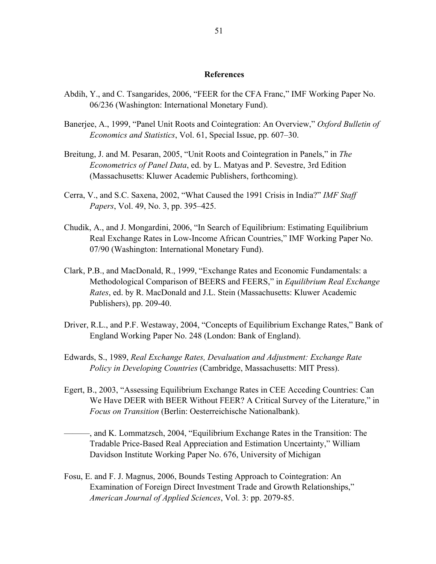#### **References**

- Abdih, Y., and C. Tsangarides, 2006, "FEER for the CFA Franc," IMF Working Paper No. 06/236 (Washington: International Monetary Fund).
- Banerjee, A., 1999, "Panel Unit Roots and Cointegration: An Overview," *Oxford Bulletin of Economics and Statistics*, Vol. 61, Special Issue, pp. 607–30.
- Breitung, J. and M. Pesaran, 2005, "Unit Roots and Cointegration in Panels," in *The Econometrics of Panel Data*, ed. by L. Matyas and P. Sevestre, 3rd Edition (Massachusetts: Kluwer Academic Publishers, forthcoming).
- Cerra, V., and S.C. Saxena, 2002, "What Caused the 1991 Crisis in India?" *IMF Staff Papers*, Vol. 49, No. 3, pp. 395–425.
- Chudik, A., and J. Mongardini, 2006, "In Search of Equilibrium: Estimating Equilibrium Real Exchange Rates in Low-Income African Countries," IMF Working Paper No. 07/90 (Washington: International Monetary Fund).
- Clark, P.B., and MacDonald, R., 1999, "Exchange Rates and Economic Fundamentals: a Methodological Comparison of BEERS and FEERS," in *Equilibrium Real Exchange Rates*, ed. by R. MacDonald and J.L. Stein (Massachusetts: Kluwer Academic Publishers), pp. 209-40.
- Driver, R.L., and P.F. Westaway, 2004, "Concepts of Equilibrium Exchange Rates," Bank of England Working Paper No. 248 (London: Bank of England).
- Edwards, S., 1989, *Real Exchange Rates, Devaluation and Adjustment: Exchange Rate Policy in Developing Countries* (Cambridge, Massachusetts: MIT Press).
- Egert, B., 2003, "Assessing Equilibrium Exchange Rates in CEE Acceding Countries: Can We Have DEER with BEER Without FEER? A Critical Survey of the Literature," in *Focus on Transition* (Berlin: Oesterreichische Nationalbank).
	- ———, and K. Lommatzsch, 2004, "Equilibrium Exchange Rates in the Transition: The Tradable Price-Based Real Appreciation and Estimation Uncertainty," William Davidson Institute Working Paper No. 676, University of Michigan
- Fosu, E. and F. J. Magnus, 2006, Bounds Testing Approach to Cointegration: An Examination of Foreign Direct Investment Trade and Growth Relationships," *American Journal of Applied Sciences*, Vol. 3: pp. 2079-85.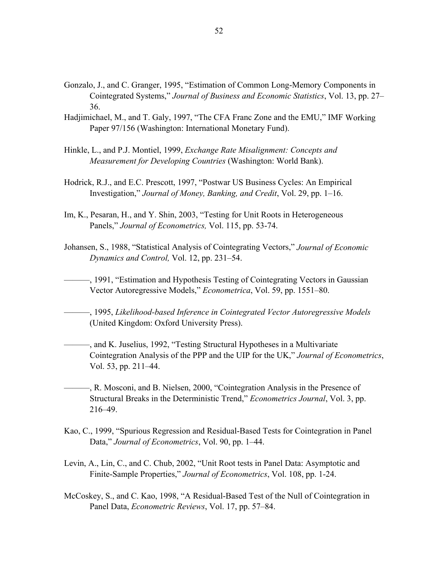- Gonzalo, J., and C. Granger, 1995, "Estimation of Common Long-Memory Components in Cointegrated Systems," *Journal of Business and Economic Statistics*, Vol. 13, pp. 27– 36.
- Hadjimichael, M., and T. Galy, 1997, "The CFA Franc Zone and the EMU," IMF Working Paper 97/156 (Washington: International Monetary Fund).
- Hinkle, L., and P.J. Montiel, 1999, *Exchange Rate Misalignment: Concepts and Measurement for Developing Countries* (Washington: World Bank).
- Hodrick, R.J., and E.C. Prescott, 1997, "Postwar US Business Cycles: An Empirical Investigation," *Journal of Money, Banking, and Credit*, Vol. 29, pp. 1–16.
- Im, K., Pesaran, H., and Y. Shin, 2003, "Testing for Unit Roots in Heterogeneous Panels," *Journal of Econometrics,* Vol. 115, pp. 53-74.
- Johansen, S., 1988, "Statistical Analysis of Cointegrating Vectors," *Journal of Economic Dynamics and Control,* Vol. 12, pp. 231–54.
- ———, 1991, "Estimation and Hypothesis Testing of Cointegrating Vectors in Gaussian Vector Autoregressive Models," *Econometrica*, Vol. 59, pp. 1551–80.

———, 1995, *Likelihood-based Inference in Cointegrated Vector Autoregressive Models*  (United Kingdom: Oxford University Press).

- ———, and K. Juselius, 1992, "Testing Structural Hypotheses in a Multivariate Cointegration Analysis of the PPP and the UIP for the UK," *Journal of Econometrics*, Vol. 53, pp. 211–44.
- ———, R. Mosconi, and B. Nielsen, 2000, "Cointegration Analysis in the Presence of Structural Breaks in the Deterministic Trend," *Econometrics Journal*, Vol. 3, pp. 216–49.
- Kao, C., 1999, "Spurious Regression and Residual-Based Tests for Cointegration in Panel Data," *Journal of Econometrics*, Vol. 90, pp. 1–44.
- Levin, A., Lin, C., and C. Chub, 2002, "Unit Root tests in Panel Data: Asymptotic and Finite-Sample Properties," *Journal of Econometrics*, Vol. 108, pp. 1-24.
- McCoskey, S., and C. Kao, 1998, "A Residual-Based Test of the Null of Cointegration in Panel Data, *Econometric Reviews*, Vol. 17, pp. 57–84.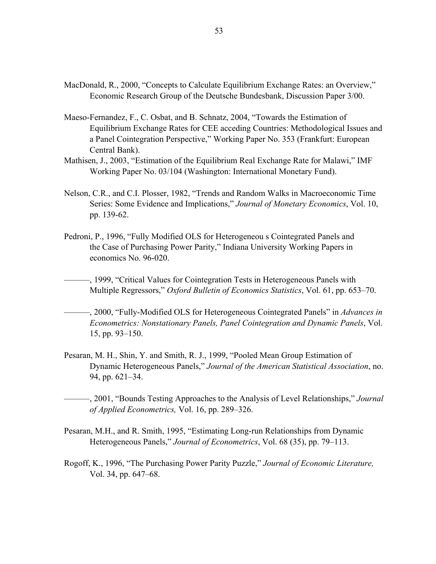- MacDonald, R., 2000, "Concepts to Calculate Equilibrium Exchange Rates: an Overview," Economic Research Group of the Deutsche Bundesbank, Discussion Paper 3/00.
- Maeso-Fernandez, F., C. Osbat, and B. Schnatz, 2004, "Towards the Estimation of Equilibrium Exchange Rates for CEE acceding Countries: Methodological Issues and a Panel Cointegration Perspective," Working Paper No. 353 (Frankfurt: European Central Bank).
- Mathisen, J., 2003, "Estimation of the Equilibrium Real Exchange Rate for Malawi," IMF Working Paper No. 03/104 (Washington: International Monetary Fund).
- Nelson, C.R., and C.I. Plosser, 1982, "Trends and Random Walks in Macroeconomic Time Series: Some Evidence and Implications," *Journal of Monetary Economics*, Vol. 10, pp. 139-62.
- Pedroni, P., 1996, "Fully Modified OLS for Heterogeneou s Cointegrated Panels and the Case of Purchasing Power Parity," Indiana University Working Papers in economics No. 96-020.

———, 1999, "Critical Values for Cointegration Tests in Heterogeneous Panels with Multiple Regressors," *Oxford Bulletin of Economics Statistics*, Vol. 61, pp. 653–70.

- ———, 2000, "Fully-Modified OLS for Heterogeneous Cointegrated Panels" in *Advances in Econometrics: Nonstationary Panels, Panel Cointegration and Dynamic Panels*, Vol. 15, pp. 93–150.
- Pesaran, M. H., Shin, Y. and Smith, R. J., 1999, "Pooled Mean Group Estimation of Dynamic Heterogeneous Panels," *Journal of the American Statistical Association*, no. 94, pp. 621–34.

———, 2001, "Bounds Testing Approaches to the Analysis of Level Relationships," *Journal of Applied Econometrics,* Vol. 16, pp. 289–326.

- Pesaran, M.H., and R. Smith, 1995, "Estimating Long-run Relationships from Dynamic Heterogeneous Panels," *Journal of Econometrics*, Vol. 68 (35), pp. 79–113.
- Rogoff, K., 1996, "The Purchasing Power Parity Puzzle," *Journal of Economic Literature,* Vol. 34, pp. 647–68.